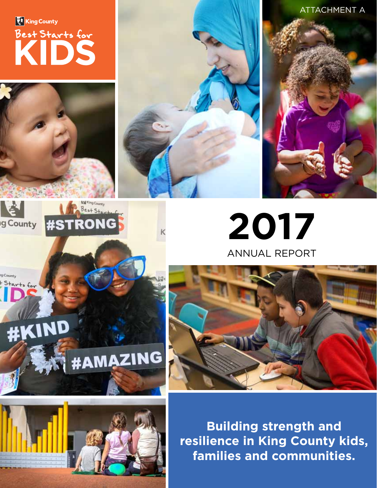King County Best Starts for

> **2017** ANNUAL REPORT

**Building strength and resilience in King County kids, families and communities.**



Best Start

**#STRONG** 





**ATTACHMENT A** 



g County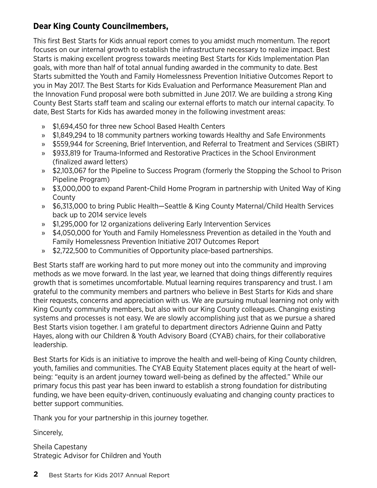### **Dear King County Councilmembers,**

This first Best Starts for Kids annual report comes to you amidst much momentum. The report focuses on our internal growth to establish the infrastructure necessary to realize impact. Best Starts is making excellent progress towards meeting Best Starts for Kids Implementation Plan goals, with more than half of total annual funding awarded in the community to date. Best Starts submitted the Youth and Family Homelessness Prevention Initiative Outcomes Report to you in May 2017. The Best Starts for Kids Evaluation and Performance Measurement Plan and the Innovation Fund proposal were both submitted in June 2017. We are building a strong King County Best Starts staff team and scaling our external efforts to match our internal capacity. To date, Best Starts for Kids has awarded money in the following investment areas:

- » \$1,694,450 for three new School Based Health Centers
- » \$1,849,294 to 18 community partners working towards Healthy and Safe Environments
- » \$559,944 for Screening, Brief Intervention, and Referral to Treatment and Services (SBIRT)
- » \$933,819 for Trauma-Informed and Restorative Practices in the School Environment (finalized award letters)
- » \$2,103,067 for the Pipeline to Success Program (formerly the Stopping the School to Prison Pipeline Program)
- » \$3,000,000 to expand Parent-Child Home Program in partnership with United Way of King County
- » \$6,313,000 to bring Public Health—Seattle & King County Maternal/Child Health Services back up to 2014 service levels
- » \$1,295,000 for 12 organizations delivering Early Intervention Services
- » \$4,050,000 for Youth and Family Homelessness Prevention as detailed in the Youth and Family Homelessness Prevention Initiative 2017 Outcomes Report
- » \$2,722,500 to Communities of Opportunity place-based partnerships.

Best Starts staff are working hard to put more money out into the community and improving methods as we move forward. In the last year, we learned that doing things differently requires growth that is sometimes uncomfortable. Mutual learning requires transparency and trust. I am grateful to the community members and partners who believe in Best Starts for Kids and share their requests, concerns and appreciation with us. We are pursuing mutual learning not only with King County community members, but also with our King County colleagues. Changing existing systems and processes is not easy. We are slowly accomplishing just that as we pursue a shared Best Starts vision together. I am grateful to department directors Adrienne Quinn and Patty Hayes, along with our Children & Youth Advisory Board (CYAB) chairs, for their collaborative leadership.

Best Starts for Kids is an initiative to improve the health and well-being of King County children, youth, families and communities. The CYAB Equity Statement places equity at the heart of wellbeing: "equity is an ardent journey toward well-being as defined by the affected." While our primary focus this past year has been inward to establish a strong foundation for distributing funding, we have been equity-driven, continuously evaluating and changing county practices to better support communities.

Thank you for your partnership in this journey together.

Sincerely,

Sheila Capestany Strategic Advisor for Children and Youth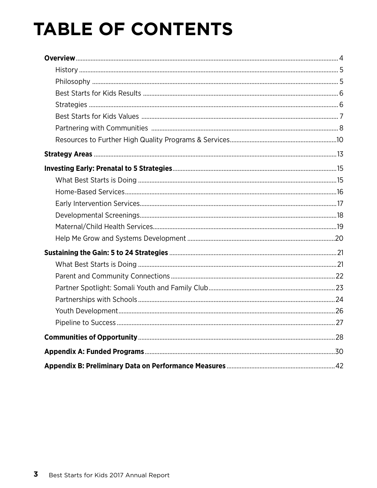# **TABLE OF CONTENTS**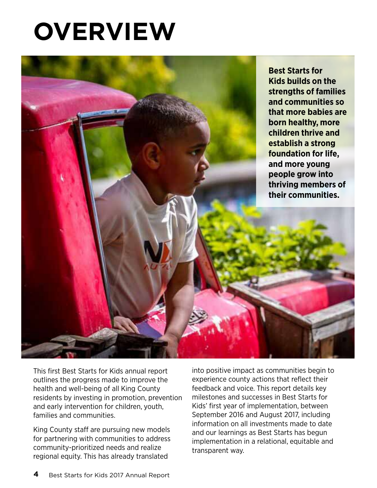# **Overview**



This first Best Starts for Kids annual report outlines the progress made to improve the health and well-being of all King County residents by investing in promotion, prevention and early intervention for children, youth, families and communities.

King County staff are pursuing new models for partnering with communities to address community-prioritized needs and realize regional equity. This has already translated

into positive impact as communities begin to experience county actions that reflect their feedback and voice. This report details key milestones and successes in Best Starts for Kids' first year of implementation, between September 2016 and August 2017, including information on all investments made to date and our learnings as Best Starts has begun implementation in a relational, equitable and transparent way.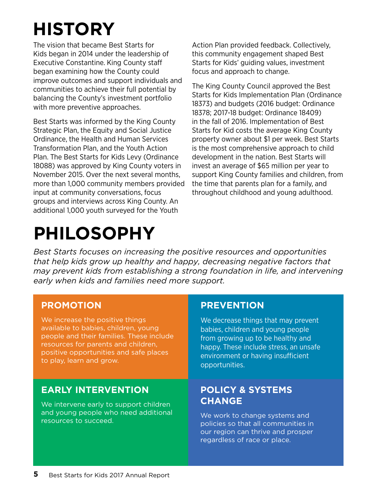# **history**

The vision that became Best Starts for Kids began in 2014 under the leadership of Executive Constantine. King County staff began examining how the County could improve outcomes and support individuals and communities to achieve their full potential by balancing the County's investment portfolio with more preventive approaches.

Best Starts was informed by the King County Strategic Plan, the Equity and Social Justice Ordinance, the Health and Human Services Transformation Plan, and the Youth Action Plan. The Best Starts for Kids Levy (Ordinance 18088) was approved by King County voters in November 2015. Over the next several months, more than 1,000 community members provided input at community conversations, focus groups and interviews across King County. An additional 1,000 youth surveyed for the Youth

# **PHILOSOPHY**

Action Plan provided feedback. Collectively, this community engagement shaped Best Starts for Kids' guiding values, investment focus and approach to change.

The King County Council approved the Best Starts for Kids Implementation Plan (Ordinance 18373) and budgets (2016 budget: Ordinance 18378; 2017-18 budget: Ordinance 18409) in the fall of 2016. Implementation of Best Starts for Kid costs the average King County property owner about \$1 per week. Best Starts is the most comprehensive approach to child development in the nation. Best Starts will invest an average of \$65 million per year to support King County families and children, from the time that parents plan for a family, and throughout childhood and young adulthood.

*Best Starts focuses on increasing the positive resources and opportunities that help kids grow up healthy and happy, decreasing negative factors that may prevent kids from establishing a strong foundation in life, and intervening early when kids and families need more support.*

### **PROMOTION**

We increase the positive things available to babies, children, young people and their families. These include resources for parents and children, positive opportunities and safe places to play, learn and grow.

### **EARLY INTERVENTION**

We intervene early to support children and young people who need additional resources to succeed.

### **PREVENTION**

We decrease things that may prevent babies, children and young people from growing up to be healthy and happy. These include stress, an unsafe environment or having insufficient opportunities.

### **POLICY & SYSTEMS CHANGE**

We work to change systems and policies so that all communities in our region can thrive and prosper regardless of race or place.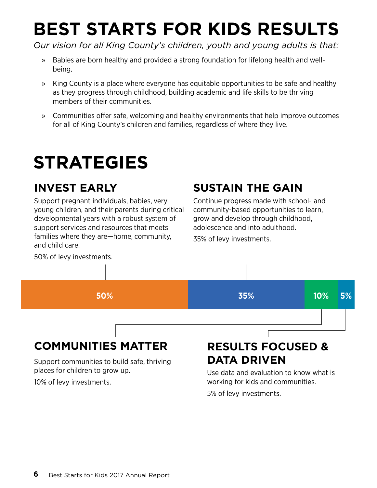# **best starts for kids results**

*Our vision for all King County's children, youth and young adults is that:*

- » Babies are born healthy and provided a strong foundation for lifelong health and wellbeing.
- » King County is a place where everyone has equitable opportunities to be safe and healthy as they progress through childhood, building academic and life skills to be thriving members of their communities.
- » Communities offer safe, welcoming and healthy environments that help improve outcomes for all of King County's children and families, regardless of where they live.

# **strategies**

## **invest early**

Support pregnant individuals, babies, very young children, and their parents during critical developmental years with a robust system of support services and resources that meets families where they are—home, community, and child care.

## **Sustain the gain**

Continue progress made with school- and community-based opportunities to learn, grow and develop through childhood, adolescence and into adulthood.

35% of levy investments.



## **COMMUNITIES MATTER**

Support communities to build safe, thriving places for children to grow up.

10% of levy investments.

## **RESULTS FOCUsED & DATA DRIVEN**

Use data and evaluation to know what is working for kids and communities. 5% of levy investments.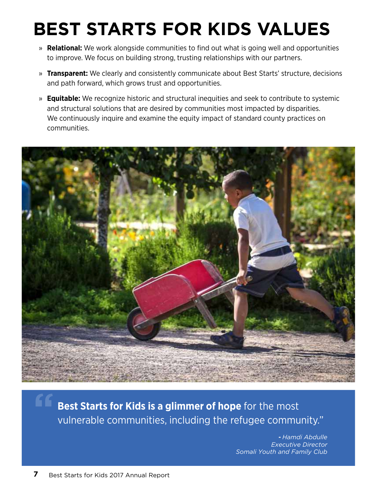# **Best Starts for Kids Values**

- » **Relational:** We work alongside communities to find out what is going well and opportunities to improve. We focus on building strong, trusting relationships with our partners.
- » **Transparent:** We clearly and consistently communicate about Best Starts' structure, decisions and path forward, which grows trust and opportunities.
- » **Equitable:** We recognize historic and structural inequities and seek to contribute to systemic and structural solutions that are desired by communities most impacted by disparities. We continuously inquire and examine the equity impact of standard county practices on communities.



**Best Starts for Kids is a glimmer of hope** for the most vulnerable communities, including the refugee community."

> **-** *Hamdi Abdulle Executive Director Somali Youth and Family Club*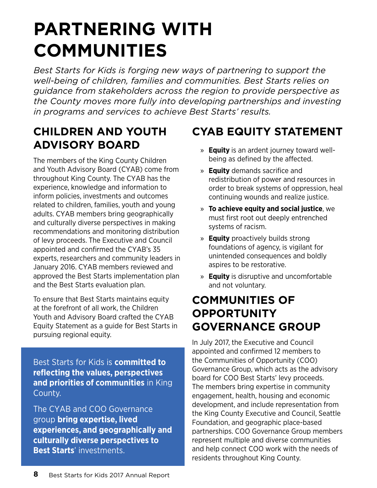# **PARTNERING WITH COMMUNITIES**

*Best Starts for Kids is forging new ways of partnering to support the well-being of children, families and communities. Best Starts relies on guidance from stakeholders across the region to provide perspective as the County moves more fully into developing partnerships and investing in programs and services to achieve Best Starts' results.* 

## **Children and youth Advisory board**

The members of the King County Children and Youth Advisory Board (CYAB) come from throughout King County. The CYAB has the experience, knowledge and information to inform policies, investments and outcomes related to children, families, youth and young adults. CYAB members bring geographically and culturally diverse perspectives in making recommendations and monitoring distribution of levy proceeds. The Executive and Council appointed and confirmed the CYAB's 35 experts, researchers and community leaders in January 2016. CYAB members reviewed and approved the Best Starts implementation plan and the Best Starts evaluation plan.

To ensure that Best Starts maintains equity at the forefront of all work, the Children Youth and Advisory Board crafted the CYAB Equity Statement as a guide for Best Starts in pursuing regional equity.

Best Starts for Kids is **committed to reflecting the values, perspectives and priorities of communities** in King County.

The CYAB and COO Governance group **bring expertise, lived experiences, and geographically and culturally diverse perspectives to Best Starts**' investments.

## **CYAB Equity statement**

- » **Equity** is an ardent journey toward wellbeing as defined by the affected.
- » **Equity** demands sacrifice and redistribution of power and resources in order to break systems of oppression, heal continuing wounds and realize justice.
- » **To achieve equity and social justice**, we must first root out deeply entrenched systems of racism.
- » **Equity** proactively builds strong foundations of agency, is vigilant for unintended consequences and boldly aspires to be restorative.
- » **Equity** is disruptive and uncomfortable and not voluntary.

## **Communities of opportunity Governance Group**

In July 2017, the Executive and Council appointed and confirmed 12 members to the Communities of Opportunity (COO) Governance Group, which acts as the advisory board for COO Best Starts' levy proceeds. The members bring expertise in community engagement, health, housing and economic development, and include representation from the King County Executive and Council, Seattle Foundation, and geographic place-based partnerships. COO Governance Group members represent multiple and diverse communities and help connect COO work with the needs of residents throughout King County.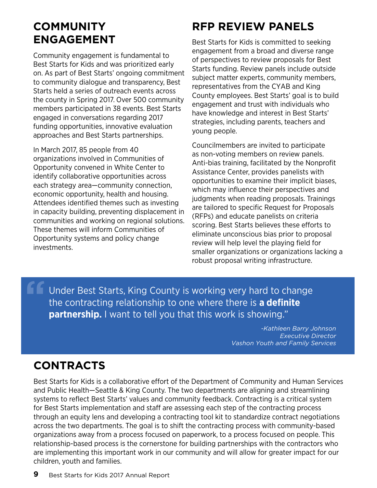## **Community Engagement**

Community engagement is fundamental to Best Starts for Kids and was prioritized early on. As part of Best Starts' ongoing commitment to community dialogue and transparency, Best Starts held a series of outreach events across the county in Spring 2017. Over 500 community members participated in 38 events. Best Starts engaged in conversations regarding 2017 funding opportunities, innovative evaluation approaches and Best Starts partnerships.

In March 2017, 85 people from 40 organizations involved in Communities of Opportunity convened in White Center to identify collaborative opportunities across each strategy area—community connection, economic opportunity, health and housing. Attendees identified themes such as investing in capacity building, preventing displacement in communities and working on regional solutions. These themes will inform Communities of Opportunity systems and policy change investments.

## **RFP REVIEW PANELS**

Best Starts for Kids is committed to seeking engagement from a broad and diverse range of perspectives to review proposals for Best Starts funding. Review panels include outside subject matter experts, community members, representatives from the CYAB and King County employees. Best Starts' goal is to build engagement and trust with individuals who have knowledge and interest in Best Starts' strategies, including parents, teachers and young people.

Councilmembers are invited to participate as non-voting members on review panels. Anti-bias training, facilitated by the Nonprofit Assistance Center, provides panelists with opportunities to examine their implicit biases, which may influence their perspectives and judgments when reading proposals. Trainings are tailored to specific Request for Proposals (RFPs) and educate panelists on criteria scoring. Best Starts believes these efforts to eliminate unconscious bias prior to proposal review will help level the playing field for smaller organizations or organizations lacking a robust proposal writing infrastructure.

Under Best Starts, King County is working very hard to change the contracting relationship to one where there is **a definite partnership.** I want to tell you that this work is showing." **"**

> *-Kathleen Barry Johnson Executive Director Vashon Youth and Family Services*

## **CONTRACTS**

Best Starts for Kids is a collaborative effort of the Department of Community and Human Services and Public Health—Seattle & King County. The two departments are aligning and streamlining systems to reflect Best Starts' values and community feedback. Contracting is a critical system for Best Starts implementation and staff are assessing each step of the contracting process through an equity lens and developing a contracting tool kit to standardize contract negotiations across the two departments. The goal is to shift the contracting process with community-based organizations away from a process focused on paperwork, to a process focused on people. This relationship-based process is the cornerstone for building partnerships with the contractors who are implementing this important work in our community and will allow for greater impact for our children, youth and families.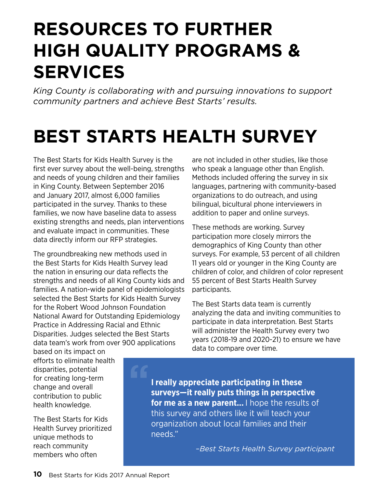# **RESOURCES TO FURTHER HIGH QUALITY PROGRAMS & SERVICES**

*King County is collaborating with and pursuing innovations to support community partners and achieve Best Starts' results.* 

# **Best starts health survey**

The Best Starts for Kids Health Survey is the first ever survey about the well-being, strengths and needs of young children and their families in King County. Between September 2016 and January 2017, almost 6,000 families participated in the survey. Thanks to these families, we now have baseline data to assess existing strengths and needs, plan interventions and evaluate impact in communities. These data directly inform our RFP strategies.

The groundbreaking new methods used in the Best Starts for Kids Health Survey lead the nation in ensuring our data reflects the strengths and needs of all King County kids and families. A nation-wide panel of epidemiologists selected the Best Starts for Kids Health Survey for the Robert Wood Johnson Foundation National Award for Outstanding Epidemiology Practice in Addressing Racial and Ethnic Disparities. Judges selected the Best Starts data team's work from over 900 applications

are not included in other studies, like those who speak a language other than English. Methods included offering the survey in six languages, partnering with community-based organizations to do outreach, and using bilingual, bicultural phone interviewers in addition to paper and online surveys.

These methods are working. Survey participation more closely mirrors the demographics of King County than other surveys. For example, 53 percent of all children 11 years old or younger in the King County are children of color, and children of color represent 55 percent of Best Starts Health Survey participants.

The Best Starts data team is currently analyzing the data and inviting communities to participate in data interpretation. Best Starts will administer the Health Survey every two years (2018-19 and 2020-21) to ensure we have data to compare over time.

based on its impact on efforts to eliminate health disparities, potential for creating long-term change and overall contribution to public health knowledge.

The Best Starts for Kids Health Survey prioritized unique methods to reach community members who often

**I really appreciate participating in these surveys—it really puts things in perspective for me as a new parent...** I hope the results of this survey and others like it will teach your organization about local families and their needs."

*–Best Starts Health Survey participant*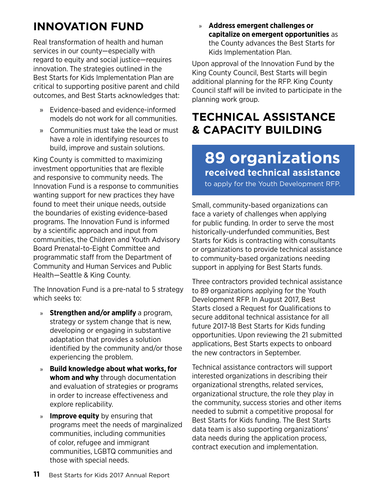## **INNOVATION FUND**

Real transformation of health and human services in our county—especially with regard to equity and social justice—requires innovation. The strategies outlined in the Best Starts for Kids Implementation Plan are critical to supporting positive parent and child outcomes, and Best Starts acknowledges that:

- » Evidence-based and evidence-informed models do not work for all communities.
- » Communities must take the lead or must have a role in identifying resources to build, improve and sustain solutions.

King County is committed to maximizing investment opportunities that are flexible and responsive to community needs. The Innovation Fund is a response to communities wanting support for new practices they have found to meet their unique needs, outside the boundaries of existing evidence-based programs. The Innovation Fund is informed by a scientific approach and input from communities, the Children and Youth Advisory Board Prenatal-to-Eight Committee and programmatic staff from the Department of Community and Human Services and Public Health—Seattle & King County.

The Innovation Fund is a pre-natal to 5 strategy which seeks to:

- » **Strengthen and/or amplify** a program, strategy or system change that is new, developing or engaging in substantive adaptation that provides a solution identified by the community and/or those experiencing the problem.
- » **Build knowledge about what works, for whom and why** through documentation and evaluation of strategies or programs in order to increase effectiveness and explore replicability.
- » **Improve equity** by ensuring that programs meet the needs of marginalized communities, including communities of color, refugee and immigrant communities, LGBTQ communities and those with special needs.

» **Address emergent challenges or capitalize on emergent opportunities** as the County advances the Best Starts for Kids Implementation Plan.

Upon approval of the Innovation Fund by the King County Council, Best Starts will begin additional planning for the RFP. King County Council staff will be invited to participate in the planning work group.

## **Technical assistance & capacity building**

## **89 organizations received technical assistance**

to apply for the Youth Development RFP.

Small, community-based organizations can face a variety of challenges when applying for public funding. In order to serve the most historically-underfunded communities, Best Starts for Kids is contracting with consultants or organizations to provide technical assistance to community-based organizations needing support in applying for Best Starts funds.

Three contractors provided technical assistance to 89 organizations applying for the Youth Development RFP. In August 2017, Best Starts closed a Request for Qualifications to secure additonal technical assistance for all future 2017-18 Best Starts for Kids funding opportunities. Upon reviewing the 21 submitted applications, Best Starts expects to onboard the new contractors in September.

Technical assistance contractors will support interested organizations in describing their organizational strengths, related services, organizational structure, the role they play in the community, success stories and other items needed to submit a competitive proposal for Best Starts for Kids funding. The Best Starts data team is also supporting organizations' data needs during the application process, contract execution and implementation.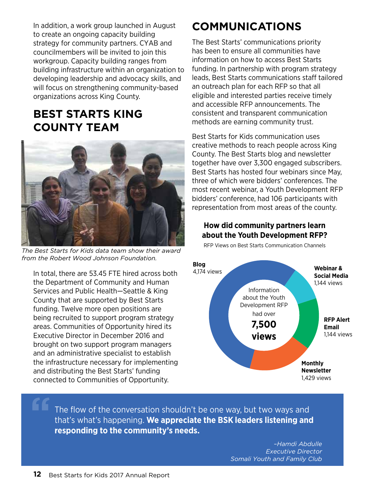In addition, a work group launched in August to create an ongoing capacity building strategy for community partners. CYAB and councilmembers will be invited to join this workgroup. Capacity building ranges from building infrastructure within an organization to developing leadership and advocacy skills, and will focus on strengthening community-based organizations across King County.

## **Best Starts King County Team**



*The Best Starts for Kids data team show their award from the Robert Wood Johnson Foundation.*

In total, there are 53.45 FTE hired across both the Department of Community and Human Services and Public Health—Seattle & King County that are supported by Best Starts funding. Twelve more open positions are being recruited to support program strategy areas. Communities of Opportunity hired its Executive Director in December 2016 and brought on two support program managers and an administrative specialist to establish the infrastructure necessary for implementing and distributing the Best Starts' funding connected to Communities of Opportunity.

## **Communications**

The Best Starts' communications priority has been to ensure all communities have information on how to access Best Starts funding. In partnership with program strategy leads, Best Starts communications staff tailored an outreach plan for each RFP so that all eligible and interested parties receive timely and accessible RFP announcements. The consistent and transparent communication methods are earning community trust.

Best Starts for Kids communication uses creative methods to reach people across King County. The Best Starts blog and newsletter together have over 3,300 engaged subscribers. Best Starts has hosted four webinars since May, three of which were bidders' conferences. The most recent webinar, a Youth Development RFP bidders' conference, had 106 participants with representation from most areas of the county.

### **How did community partners learn about the Youth Development RFP?**

RFP Views on Best Starts Communication Channels



The flow of the conversation shouldn't be one way, but two ways and that's what's happening. **We appreciate the BSK leaders listening and responding to the community's needs.**

> *–Hamdi Abdulle Executive Director Somali Youth and Family Club*

**"**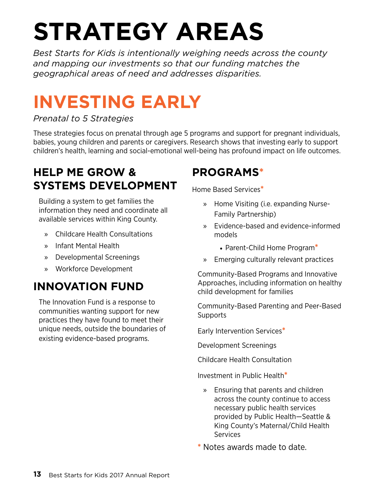# **STRATEGY AREAS**

*Best Starts for Kids is intentionally weighing needs across the county and mapping our investments so that our funding matches the geographical areas of need and addresses disparities.* 

# **INVESTING EARLY**

### *Prenatal to 5 Strategies*

These strategies focus on prenatal through age 5 programs and support for pregnant individuals, babies, young children and parents or caregivers. Research shows that investing early to support children's health, learning and social-emotional well-being has profound impact on life outcomes.

## **Help Me Grow & Systems Development**

Building a system to get families the information they need and coordinate all available services within King County.

- » Childcare Health Consultations
- » Infant Mental Health
- » Developmental Screenings
- » Workforce Development

## **Innovation Fund**

The Innovation Fund is a response to communities wanting support for new practices they have found to meet their unique needs, outside the boundaries of existing evidence-based programs.

## **Programs\***

Home Based Services**\***

- » Home Visiting (i.e. expanding Nurse-Family Partnership)
- » Evidence-based and evidence-informed models
	- • Parent-Child Home Program**\***
- » Emerging culturally relevant practices

Community-Based Programs and Innovative Approaches, including information on healthy child development for families

Community-Based Parenting and Peer-Based **Supports** 

Early Intervention Services**\***

Development Screenings

Childcare Health Consultation

Investment in Public Health**\***

» Ensuring that parents and children across the county continue to access necessary public health services provided by Public Health—Seattle & King County's Maternal/Child Health **Services** 

**\*** Notes awards made to date.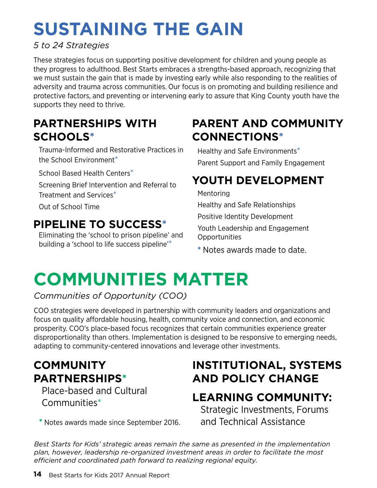# **SUstaining the gain**

### *5 to 24 Strategies*

These strategies focus on supporting positive development for children and young people as they progress to adulthood. Best Starts embraces a strengths-based approach, recognizing that we must sustain the gain that is made by investing early while also responding to the realities of adversity and trauma across communities. Our focus is on promoting and building resilience and protective factors, and preventing or intervening early to assure that King County youth have the supports they need to thrive.

## **Partnerships with Schools\***

Trauma-Informed and Restorative Practices in the School Environment\*

School Based Health Centers\*

Screening Brief Intervention and Referral to Treatment and Services\*

Out of School Time

## **Pipeline to Success\***

Eliminating the 'school to prison pipeline' and building a 'school to life success pipeline'\*

## **Parent and Community Connections\***

Healthy and Safe Environments\* Parent Support and Family Engagement

## **Youth Development**

Mentoring

Healthy and Safe Relationships

Positive Identity Development

Youth Leadership and Engagement Opportunities

**\*** Notes awards made to date.

# **communities matter**

*Communities of Opportunity (COO)*

COO strategies were developed in partnership with community leaders and organizations and focus on quality affordable housing, health, community voice and connection, and economic prosperity. COO's place-based focus recognizes that certain communities experience greater disproportionality than others. Implementation is designed to be responsive to emerging needs, adapting to community-centered innovations and leverage other investments.

## **community partnerships\***

Place-based and Cultural Communities\*

**\*** Notes awards made since September 2016.

## **Institutional, Systems and Policy Change**

## **Learning Community:**

Strategic Investments, Forums and Technical Assistance

*Best Starts for Kids' strategic areas remain the same as presented in the implementation plan, however, leadership re-organized investment areas in order to facilitate the most efficient and coordinated path forward to realizing regional equity.*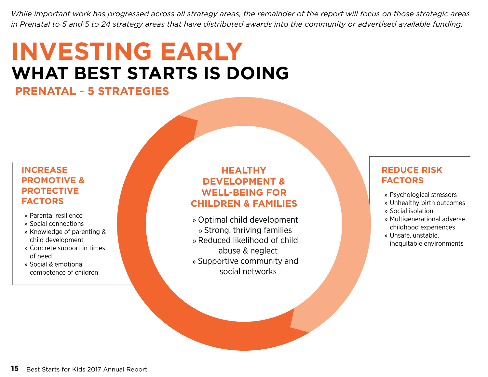*While important work has progressed across all strategy areas, the remainder of the report will focus on those strategic areas in Prenatal to 5 and 5 to 24 strategy areas that have distributed awards into the community or advertised available funding.* 

# **what best starts is doing INVESTING EARLY**

**Prenatal - 5 strategies**

### **Increase promotive & protective factors**

- » Parental resilience
- » Social connections
- » Knowledge of parenting & child development
- » Concrete support in times of need
- » Social & emotional competence of children

### **Healthy development & well-being for children & families**

» Optimal child development » Strong, thriving families » Reduced likelihood of child abuse & neglect » Supportive community and social networks

### **Reduce risk factors**

- » Psychological stressors
- » Unhealthy birth outcomes
- » Social isolation
- » Multigenerational adverse childhood experiences
- » Unsafe, unstable, inequitable environments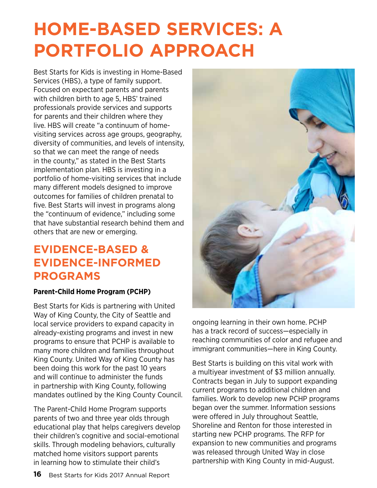# **Home-Based Services: A Portfolio Approach**

Best Starts for Kids is investing in Home-Based Services (HBS), a type of family support. Focused on expectant parents and parents with children birth to age 5, HBS' trained professionals provide services and supports for parents and their children where they live. HBS will create "a continuum of homevisiting services across age groups, geography, diversity of communities, and levels of intensity, so that we can meet the range of needs in the county," as stated in the Best Starts implementation plan. HBS is investing in a portfolio of home-visiting services that include many different models designed to improve outcomes for families of children prenatal to five. Best Starts will invest in programs along the "continuum of evidence," including some that have substantial research behind them and others that are new or emerging.

## **Evidence-Based & Evidence-Informed Programs**

### **Parent-Child Home Program (PCHP)**

Best Starts for Kids is partnering with United Way of King County, the City of Seattle and local service providers to expand capacity in already-existing programs and invest in new programs to ensure that PCHP is available to many more children and families throughout King County. United Way of King County has been doing this work for the past 10 years and will continue to administer the funds in partnership with King County, following mandates outlined by the King County Council.

The Parent-Child Home Program supports parents of two and three year olds through educational play that helps caregivers develop their children's cognitive and social-emotional skills. Through modeling behaviors, culturally matched home visitors support parents in learning how to stimulate their child's



ongoing learning in their own home. PCHP has a track record of success—especially in reaching communities of color and refugee and immigrant communities—here in King County.

Best Starts is building on this vital work with a multiyear investment of \$3 million annually. Contracts began in July to support expanding current programs to additional children and families. Work to develop new PCHP programs began over the summer. Information sessions were offered in July throughout Seattle, Shoreline and Renton for those interested in starting new PCHP programs. The RFP for expansion to new communities and programs was released through United Way in close partnership with King County in mid-August.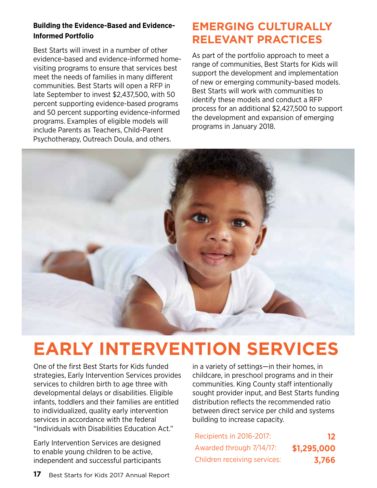### **Building the Evidence-Based and Evidence-Informed Portfolio**

Best Starts will invest in a number of other evidence-based and evidence-informed homevisiting programs to ensure that services best meet the needs of families in many different communities. Best Starts will open a RFP in late September to invest \$2,437,500, with 50 percent supporting evidence-based programs and 50 percent supporting evidence-informed programs. Examples of eligible models will include Parents as Teachers, Child-Parent Psychotherapy, Outreach Doula, and others.

## **Emerging Culturally Relevant Practices**

As part of the portfolio approach to meet a range of communities, Best Starts for Kids will support the development and implementation of new or emerging community-based models. Best Starts will work with communities to identify these models and conduct a RFP process for an additional \$2,427,500 to support the development and expansion of emerging programs in January 2018.



# **Early Intervention Services**

One of the first Best Starts for Kids funded strategies, Early Intervention Services provides services to children birth to age three with developmental delays or disabilities. Eligible infants, toddlers and their families are entitled to individualized, quality early intervention services in accordance with the federal "Individuals with Disabilities Education Act."

Early Intervention Services are designed to enable young children to be active, independent and successful participants in a variety of settings—in their homes, in childcare, in preschool programs and in their communities. King County staff intentionally sought provider input, and Best Starts funding distribution reflects the recommended ratio between direct service per child and systems building to increase capacity.

| Recipients in 2016-2017:     | 12          |
|------------------------------|-------------|
| Awarded through 7/14/17:     | \$1,295,000 |
| Children receiving services: | 3,766       |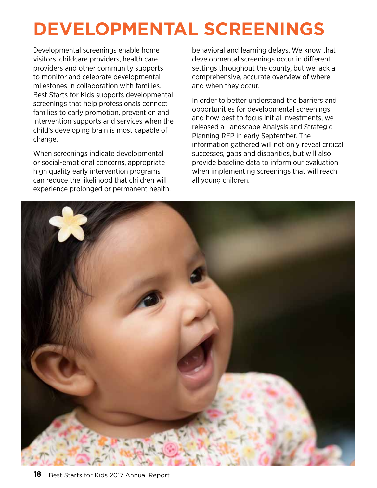# **Developmental Screenings**

Developmental screenings enable home visitors, childcare providers, health care providers and other community supports to monitor and celebrate developmental milestones in collaboration with families. Best Starts for Kids supports developmental screenings that help professionals connect families to early promotion, prevention and intervention supports and services when the child's developing brain is most capable of change.

When screenings indicate developmental or social-emotional concerns, appropriate high quality early intervention programs can reduce the likelihood that children will experience prolonged or permanent health, behavioral and learning delays. We know that developmental screenings occur in different settings throughout the county, but we lack a comprehensive, accurate overview of where and when they occur.

In order to better understand the barriers and opportunities for developmental screenings and how best to focus initial investments, we released a Landscape Analysis and Strategic Planning RFP in early September. The information gathered will not only reveal critical successes, gaps and disparities, but will also provide baseline data to inform our evaluation when implementing screenings that will reach all young children.

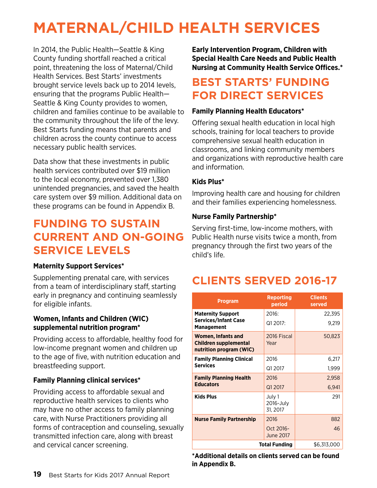## **Maternal/Child Health SERVICES**

In 2014, the Public Health—Seattle & King County funding shortfall reached a critical point, threatening the loss of Maternal/Child Health Services. Best Starts' investments brought service levels back up to 2014 levels, ensuring that the programs Public Health— Seattle & King County provides to women, children and families continue to be available to the community throughout the life of the levy. Best Starts funding means that parents and children across the county continue to access necessary public health services.

Data show that these investments in public health services contributed over \$19 million to the local economy, prevented over 1,380 unintended pregnancies, and saved the health care system over \$9 million. Additional data on these programs can be found in Appendix B.

## **Funding to sustain current and on-going service levels**

### **Maternity Support Services\***

Supplementing prenatal care, with services from a team of interdisciplinary staff, starting early in pregnancy and continuing seamlessly for eligible infants.

### **Women, Infants and Children (WIC) supplemental nutrition program\***

Providing access to affordable, healthy food for low-income pregnant women and children up to the age of five, with nutrition education and breastfeeding support.

### **Family Planning clinical services\***

Providing access to affordable sexual and reproductive health services to clients who may have no other access to family planning care, with Nurse Practitioners providing all forms of contraception and counseling, sexually transmitted infection care, along with breast and cervical cancer screening.

**Early Intervention Program, Children with Special Health Care Needs and Public Health Nursing at Community Health Service Offices.\***

## **Best Starts' funding for direct services**

### **Family Planning Health Educators\***

Offering sexual health education in local high schools, training for local teachers to provide comprehensive sexual health education in classrooms, and linking community members and organizations with reproductive health care and information.

### **Kids Plus\***

Improving health care and housing for children and their families experiencing homelessness.

### **Nurse Family Partnership\***

Serving first-time, low-income mothers, with Public Health nurse visits twice a month, from pregnancy through the first two years of the child's life.

## **Clients Served 2016-17**

| <b>Program</b>                                                                       | <b>Reporting</b><br>period      | <b>Clients</b><br>served |
|--------------------------------------------------------------------------------------|---------------------------------|--------------------------|
| <b>Maternity Support</b>                                                             | 2016:                           | 22,395                   |
| <b>Services/Infant Case</b><br><b>Management</b>                                     | Q1 2017:                        | 9,219                    |
| <b>Women, Infants and</b><br><b>Children supplemental</b><br>nutrition program (WIC) | 2016 Fiscal<br>Year             | 50,823                   |
| <b>Family Planning Clinical</b>                                                      | 2016                            | 6,217                    |
| <b>Services</b>                                                                      | Q1 2017                         | 1,999                    |
| <b>Family Planning Health</b><br><b>Educators</b>                                    | 2016                            | 2,958                    |
|                                                                                      | Q1 2017                         | 6,941                    |
| <b>Kids Plus</b>                                                                     | July 1<br>2016-July<br>31, 2017 | 291                      |
| <b>Nurse Family Partnership</b>                                                      | 2016                            | 882                      |
|                                                                                      | Oct 2016-<br><b>June 2017</b>   | 46                       |
| <b>Total Funding</b><br>\$6,313,000                                                  |                                 |                          |

**\*Additional details on clients served can be found in Appendix B.**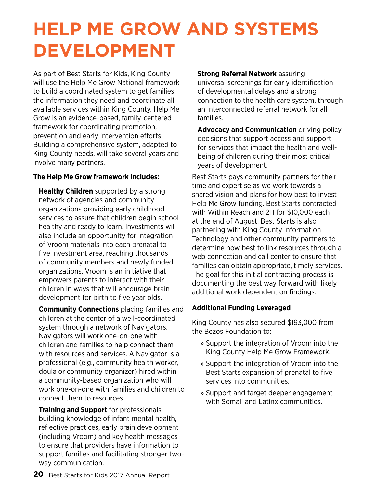# **Help Me Grow and Systems Development**

As part of Best Starts for Kids, King County will use the Help Me Grow National framework to build a coordinated system to get families the information they need and coordinate all available services within King County. Help Me Grow is an evidence-based, family-centered framework for coordinating promotion, prevention and early intervention efforts. Building a comprehensive system, adapted to King County needs, will take several years and involve many partners.

### **The Help Me Grow framework includes:**

**Healthy Children** supported by a strong network of agencies and community organizations providing early childhood services to assure that children begin school healthy and ready to learn. Investments will also include an opportunity for integration of Vroom materials into each prenatal to five investment area, reaching thousands of community members and newly funded organizations. Vroom is an initiative that empowers parents to interact with their children in ways that will encourage brain development for birth to five year olds.

**Community Connections** placing families and children at the center of a well-coordinated system through a network of Navigators. Navigators will work one-on-one with children and families to help connect them with resources and services. A Navigator is a professional (e.g., community health worker, doula or community organizer) hired within a community-based organization who will work one-on-one with families and children to connect them to resources.

**Training and Support** for professionals building knowledge of infant mental health, reflective practices, early brain development (including Vroom) and key health messages to ensure that providers have information to support families and facilitating stronger twoway communication.

**Strong Referral Network** assuring universal screenings for early identification of developmental delays and a strong connection to the health care system, through an interconnected referral network for all families.

**Advocacy and Communication** driving policy decisions that support access and support for services that impact the health and wellbeing of children during their most critical years of development.

Best Starts pays community partners for their time and expertise as we work towards a shared vision and plans for how best to invest Help Me Grow funding. Best Starts contracted with Within Reach and 211 for \$10,000 each at the end of August. Best Starts is also partnering with King County Information Technology and other community partners to determine how best to link resources through a web connection and call center to ensure that families can obtain appropriate, timely services. The goal for this initial contracting process is documenting the best way forward with likely additional work dependent on findings.

### **Additional Funding Leveraged**

King County has also secured \$193,000 from the Bezos Foundation to:

- » Support the integration of Vroom into the King County Help Me Grow Framework.
- » Support the integration of Vroom into the Best Starts expansion of prenatal to five services into communities.
- » Support and target deeper engagement with Somali and Latinx communities.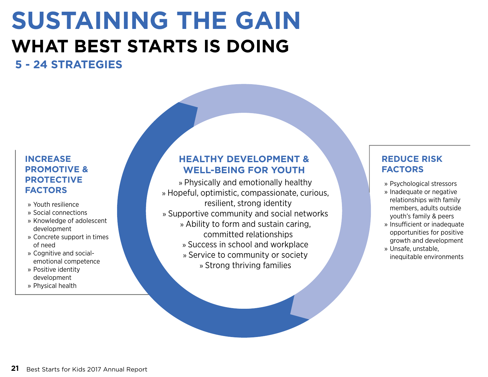# **SUstaining the gain what best starts is doing**

## **5 - 24 strategies**

### **Increase promotive & protective factors**

- » Youth resilience
- » Social connections
- » Knowledge of adolescent development
- » Concrete support in times of need
- » Cognitive and socialemotional competence
- » Positive identity development
- » Physical health

### **Healthy development & well-being for youth**

» Physically and emotionally healthy » Hopeful, optimistic, compassionate, curious, resilient, strong identity » Supportive community and social networks » Ability to form and sustain caring, committed relationships » Success in school and workplace » Service to community or society » Strong thriving families

### **Reduce risk factors**

- » Psychological stressors
- » Inadequate or negative relationships with family members, adults outside youth's family & peers
- » Insufficient or inadequate opportunities for positive growth and development
- » Unsafe, unstable, inequitable environments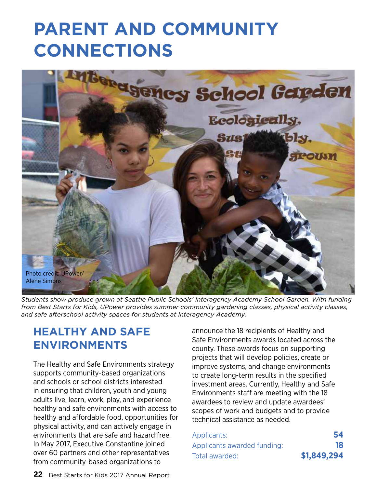# **Parent and Community Connections**



*Students show produce grown at Seattle Public Schools' Interagency Academy School Garden. With funding from Best Starts for Kids, UPower provides summer community gardening classes, physical activity classes, and safe afterschool activity spaces for students at Interagency Academy.* 

### **Healthy and Safe Environments**

The Healthy and Safe Environments strategy supports community-based organizations and schools or school districts interested in ensuring that children, youth and young adults live, learn, work, play, and experience healthy and safe environments with access to healthy and affordable food, opportunities for physical activity, and can actively engage in environments that are safe and hazard free. In May 2017, Executive Constantine joined over 60 partners and other representatives from community-based organizations to

announce the 18 recipients of Healthy and Safe Environments awards located across the county. These awards focus on supporting projects that will develop policies, create or improve systems, and change environments to create long-term results in the specified investment areas. Currently, Healthy and Safe Environments staff are meeting with the 18 awardees to review and update awardees' scopes of work and budgets and to provide technical assistance as needed.

| Applicants:                 | 54          |
|-----------------------------|-------------|
| Applicants awarded funding: | 18          |
| Total awarded:              | \$1,849,294 |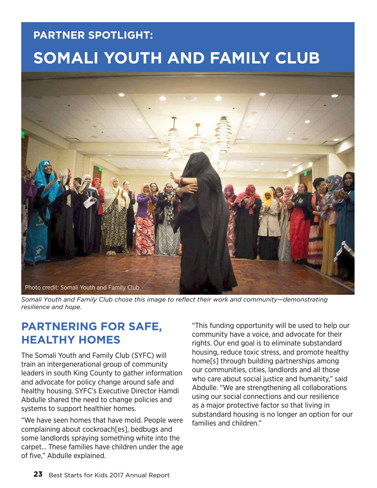## **partner spotlight: somali youth and family club**



*Somali Youth and Family Club chose this image to reflect their work and community—demonstrating resilience and hope.*

## **partnering for safe, healthy homes**

The Somali Youth and Family Club (SYFC) will train an intergenerational group of community leaders in south King County to gather information and advocate for policy change around safe and healthy housing. SYFC's Executive Director Hamdi Abdulle shared the need to change policies and systems to support healthier homes.

"We have seen homes that have mold. People were complaining about cockroach[es], bedbugs and some landlords spraying something white into the carpet... These families have children under the age of five," Abdulle explained.

"This funding opportunity will be used to help our community have a voice, and advocate for their rights. Our end goal is to eliminate substandard housing, reduce toxic stress, and promote healthy home[s] through building partnerships among our communities, cities, landlords and all those who care about social justice and humanity," said Abdulle. "We are strengthening all collaborations using our social connections and our resilience as a major protective factor so that living in substandard housing is no longer an option for our families and children."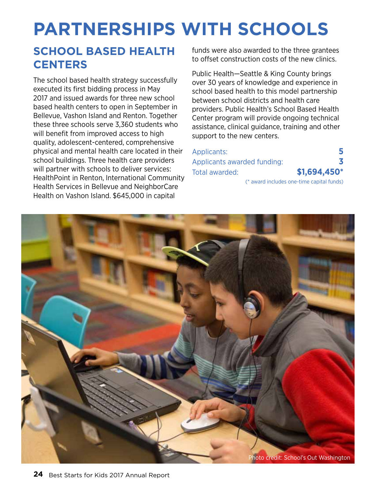# **Partnerships with Schools**

## **School Based Health Centers**

The school based health strategy successfully executed its first bidding process in May 2017 and issued awards for three new school based health centers to open in September in Bellevue, Vashon Island and Renton. Together these three schools serve 3,360 students who will benefit from improved access to high quality, adolescent-centered, comprehensive physical and mental health care located in their school buildings. Three health care providers will partner with schools to deliver services: HealthPoint in Renton, International Community Health Services in Bellevue and NeighborCare Health on Vashon Island. \$645,000 in capital

funds were also awarded to the three grantees to offset construction costs of the new clinics.

Public Health—Seattle & King County brings over 30 years of knowledge and experience in school based health to this model partnership between school districts and health care providers. Public Health's School Based Health Center program will provide ongoing technical assistance, clinical guidance, training and other support to the new centers.

| Applicants:                 |                                           |
|-----------------------------|-------------------------------------------|
| Applicants awarded funding: |                                           |
| Total awarded:              | $$1,694,450*$                             |
|                             | (* award includes one-time capital funds) |

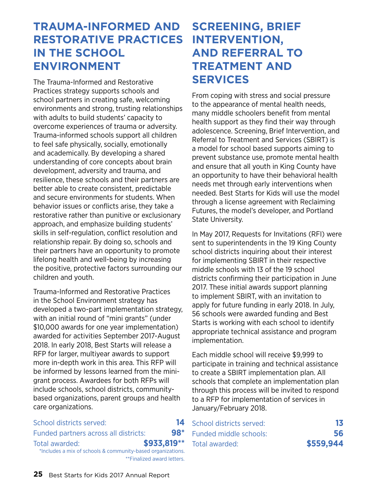## **Trauma-Informed and Screening, Brief Restorative Practices in the School Environment**

The Trauma-Informed and Restorative Practices strategy supports schools and school partners in creating safe, welcoming environments and strong, trusting relationships with adults to build students' capacity to overcome experiences of trauma or adversity. Trauma-informed schools support all children to feel safe physically, socially, emotionally and academically. By developing a shared understanding of core concepts about brain development, adversity and trauma, and resilience, these schools and their partners are better able to create consistent, predictable and secure environments for students. When behavior issues or conflicts arise, they take a restorative rather than punitive or exclusionary approach, and emphasize building students' skills in self-regulation, conflict resolution and relationship repair. By doing so, schools and their partners have an opportunity to promote lifelong health and well-being by increasing the positive, protective factors surrounding our children and youth.

Trauma-Informed and Restorative Practices in the School Environment strategy has developed a two-part implementation strategy, with an initial round of "mini grants" (under \$10,000 awards for one year implementation) awarded for activities September 2017-August 2018. In early 2018, Best Starts will release a RFP for larger, multiyear awards to support more in-depth work in this area. This RFP will be informed by lessons learned from the minigrant process. Awardees for both RFPs will include schools, school districts, communitybased organizations, parent groups and health care organizations.

### School districts served: **14** Funded partners across all districts: **98\*** Total awarded: **\$933,819\*\*** \*Includes a mix of schools & community-based organizations. \*\*Finalized award letters.

## **Intervention, and Referral to Treatment and Services**

From coping with stress and social pressure to the appearance of mental health needs, many middle schoolers benefit from mental health support as they find their way through adolescence. Screening, Brief Intervention, and Referral to Treatment and Services (SBIRT) is a model for school based supports aiming to prevent substance use, promote mental health and ensure that all youth in King County have an opportunity to have their behavioral health needs met through early interventions when needed. Best Starts for Kids will use the model through a license agreement with Reclaiming Futures, the model's developer, and Portland State University.

In May 2017, Requests for Invitations (RFI) were sent to superintendents in the 19 King County school districts inquiring about their interest for implementing SBIRT in their respective middle schools with 13 of the 19 school districts confirming their participation in June 2017. These initial awards support planning to implement SBIRT, with an invitation to apply for future funding in early 2018. In July, 56 schools were awarded funding and Best Starts is working with each school to identify appropriate technical assistance and program implementation.

Each middle school will receive \$9,999 to participate in training and technical assistance to create a SBIRT implementation plan. All schools that complete an implementation plan through this process will be invited to respond to a RFP for implementation of services in January/February 2018.

| School districts served: | 13        |
|--------------------------|-----------|
| Funded middle schools:   | 56        |
| Total awarded:           | \$559,944 |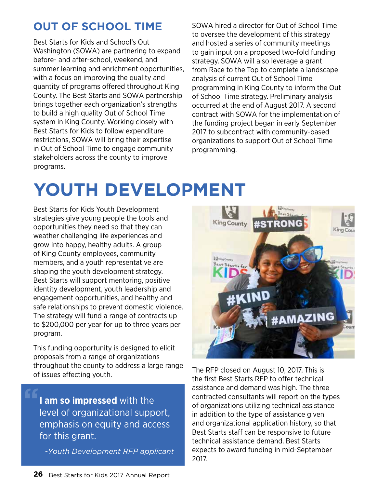## **Out of School Time**

Best Starts for Kids and School's Out Washington (SOWA) are partnering to expand before- and after-school, weekend, and summer learning and enrichment opportunities, with a focus on improving the quality and quantity of programs offered throughout King County. The Best Starts and SOWA partnership brings together each organization's strengths to build a high quality Out of School Time system in King County. Working closely with Best Starts for Kids to follow expenditure restrictions, SOWA will bring their expertise in Out of School Time to engage community stakeholders across the county to improve programs.

SOWA hired a director for Out of School Time to oversee the development of this strategy and hosted a series of community meetings to gain input on a proposed two-fold funding strategy. SOWA will also leverage a grant from Race to the Top to complete a landscape analysis of current Out of School Time programming in King County to inform the Out of School Time strategy. Preliminary analysis occurred at the end of August 2017. A second contract with SOWA for the implementation of the funding project began in early September 2017 to subcontract with community-based organizations to support Out of School Time programming.

# **Youth Development**

Best Starts for Kids Youth Development strategies give young people the tools and opportunities they need so that they can weather challenging life experiences and grow into happy, healthy adults. A group of King County employees, community members, and a youth representative are shaping the youth development strategy. Best Starts will support mentoring, positive identity development, youth leadership and engagement opportunities, and healthy and safe relationships to prevent domestic violence. The strategy will fund a range of contracts up to \$200,000 per year for up to three years per program.

This funding opportunity is designed to elicit proposals from a range of organizations throughout the county to address a large range of issues effecting youth.

**I am so impressed** with the level of organizational support, emphasis on equity and access for this grant. **"**

*-Youth Development RFP applicant*



The RFP closed on August 10, 2017. This is the first Best Starts RFP to offer technical assistance and demand was high. The three contracted consultants will report on the types of organizations utilizing technical assistance in addition to the type of assistance given and organizational application history, so that Best Starts staff can be responsive to future technical assistance demand. Best Starts expects to award funding in mid-September 2017.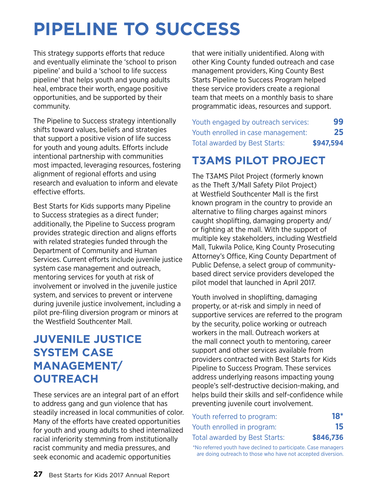# **Pipeline to Success**

This strategy supports efforts that reduce and eventually eliminate the 'school to prison pipeline' and build a 'school to life success pipeline' that helps youth and young adults heal, embrace their worth, engage positive opportunities, and be supported by their community.

The Pipeline to Success strategy intentionally shifts toward values, beliefs and strategies that support a positive vision of life success for youth and young adults. Efforts include intentional partnership with communities most impacted, leveraging resources, fostering alignment of regional efforts and using research and evaluation to inform and elevate effective efforts.

Best Starts for Kids supports many Pipeline to Success strategies as a direct funder; additionally, the Pipeline to Success program provides strategic direction and aligns efforts with related strategies funded through the Department of Community and Human Services. Current efforts include juvenile justice system case management and outreach, mentoring services for youth at risk of involvement or involved in the juvenile justice system, and services to prevent or intervene during juvenile justice involvement, including a pilot pre-filing diversion program or minors at the Westfield Southcenter Mall.

## **Juvenile Justice System Case Management/ Outreach**

These services are an integral part of an effort to address gang and gun violence that has steadily increased in local communities of color. Many of the efforts have created opportunities for youth and young adults to shed internalized racial inferiority stemming from institutionally racist community and media pressures, and seek economic and academic opportunities

that were initially unidentified. Along with other King County funded outreach and case management providers, King County Best Starts Pipeline to Success Program helped these service providers create a regional team that meets on a monthly basis to share programmatic ideas, resources and support.

| 99        | Youth engaged by outreach services:  |
|-----------|--------------------------------------|
| 25        | Youth enrolled in case management:   |
| \$947,594 | <b>Total awarded by Best Starts:</b> |

## **T3AMS Pilot Project**

The T3AMS Pilot Project (formerly known as the Theft 3/Mall Safety Pilot Project) at Westfield Southcenter Mall is the first known program in the country to provide an alternative to filing charges against minors caught shoplifting, damaging property and/ or fighting at the mall. With the support of multiple key stakeholders, including Westfield Mall, Tukwila Police, King County Prosecuting Attorney's Office, King County Department of Public Defense, a select group of communitybased direct service providers developed the pilot model that launched in April 2017.

Youth involved in shoplifting, damaging property, or at-risk and simply in need of supportive services are referred to the program by the security, police working or outreach workers in the mall. Outreach workers at the mall connect youth to mentoring, career support and other services available from providers contracted with Best Starts for Kids Pipeline to Success Program. These services address underlying reasons impacting young people's self-destructive decision-making, and helps build their skills and self-confidence while preventing juvenile court involvement.

| Youth referred to program:    | <b>18*</b> |
|-------------------------------|------------|
| Youth enrolled in program:    | 15         |
| Total awarded by Best Starts: | \$846,736  |

\*No referred youth have declined to participate. Case managers are doing outreach to those who have not accepted diversion.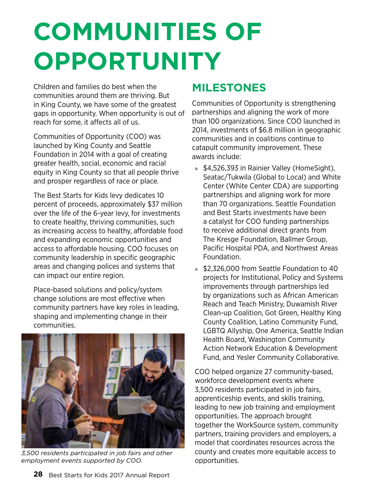# **communities of opportunity**

Children and families do best when the communities around them are thriving. But in King County, we have some of the greatest gaps in opportunity. When opportunity is out of reach for some, it affects all of us.

Communities of Opportunity (COO) was launched by King County and Seattle Foundation in 2014 with a goal of creating greater health, social, economic and racial equity in King County so that all people thrive and prosper regardless of race or place.

The Best Starts for Kids levy dedicates 10 percent of proceeds, approximately \$37 million over the life of the 6-year levy, for investments to create healthy, thriving communities, such as increasing access to healthy, affordable food and expanding economic opportunities and access to affordable housing. COO focuses on community leadership in specific geographic areas and changing polices and systems that can impact our entire region.

Place-based solutions and policy/system change solutions are most effective when community partners have key roles in leading, shaping and implementing change in their communities.



*3,500 residents participated in job fairs and other employment events supported by COO.*

## **Milestones**

Communities of Opportunity is strengthening partnerships and aligning the work of more than 100 organizations. Since COO launched in 2014, investments of \$6.8 million in geographic communities and in coalitions continue to catapult community improvement. These awards include:

- » \$4,526,393 in Rainier Valley (HomeSight), Seatac/Tukwila (Global to Local) and White Center (White Center CDA) are supporting partnerships and aligning work for more than 70 organizations. Seattle Foundation and Best Starts investments have been a catalyst for COO funding partnerships to receive additional direct grants from The Kresge Foundation, Ballmer Group, Pacific Hospital PDA, and Northwest Areas Foundation.
- » \$2,326,000 from Seattle Foundation to 40 projects for Institutional, Policy and Systems improvements through partnerships led by organizations such as African American Reach and Teach Ministry, Duwamish River Clean-up Coalition, Got Green, Healthy King County Coalition, Latino Community Fund, LGBTQ Allyship, One America, Seattle Indian Health Board, Washington Community Action Network Education & Development Fund, and Yesler Community Collaborative.

COO helped organize 27 community-based, workforce development events where 3,500 residents participated in job fairs, apprenticeship events, and skills training, leading to new job training and employment opportunities. The approach brought together the WorkSource system, community partners, training providers and employers, a model that coordinates resources across the county and creates more equitable access to opportunities.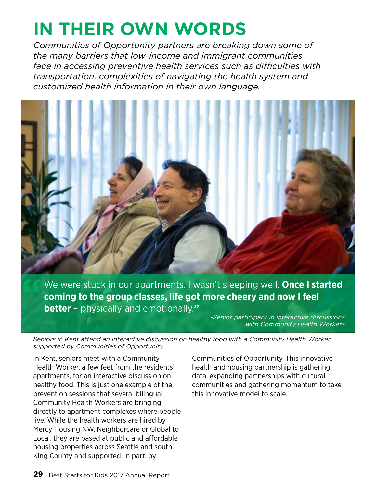# **In their own words**

*Communities of Opportunity partners are breaking down some of the many barriers that low-income and immigrant communities face in accessing preventive health services such as difficulties with transportation, complexities of navigating the health system and customized health information in their own language.*



We were stuck in our apartments. I wasn't sleeping well. **Once I started coming to the group classes, life got more cheery and now I feel better** – physically and emotionally.**"**

*-Senior participant in interactive discussions with Community Health Workers*

*Seniors in Kent attend an interactive discussion on healthy food with a Community Health Worker supported by Communities of Opportunity.* 

In Kent, seniors meet with a Community Health Worker, a few feet from the residents' apartments, for an interactive discussion on healthy food. This is just one example of the prevention sessions that several bilingual Community Health Workers are bringing directly to apartment complexes where people live. While the health workers are hired by Mercy Housing NW, Neighborcare or Global to Local, they are based at public and affordable housing properties across Seattle and south King County and supported, in part, by

Communities of Opportunity. This innovative health and housing partnership is gathering data, expanding partnerships with cultural communities and gathering momentum to take this innovative model to scale.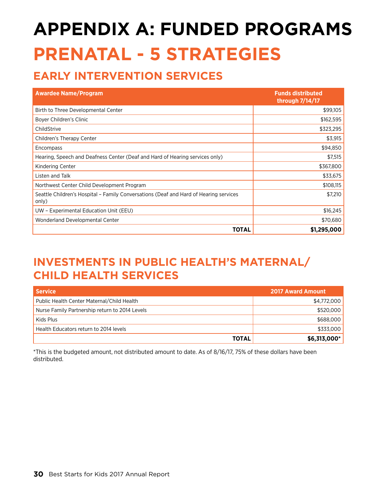# **appendix A: funded programs prenatal - 5 strategies**

## **Early Intervention Services**

| <b>Awardee Name/Program</b>                                                                    | <b>Funds distributed</b><br>through 7/14/17 |
|------------------------------------------------------------------------------------------------|---------------------------------------------|
| Birth to Three Developmental Center                                                            | \$99,105                                    |
| Boyer Children's Clinic                                                                        | \$162,595                                   |
| ChildStrive                                                                                    | \$323,295                                   |
| Children's Therapy Center                                                                      | \$3,915                                     |
| Encompass                                                                                      | \$94,850                                    |
| Hearing, Speech and Deafness Center (Deaf and Hard of Hearing services only)                   | \$7,515                                     |
| Kindering Center                                                                               | \$367,800                                   |
| Listen and Talk                                                                                | \$33,675                                    |
| Northwest Center Child Development Program                                                     | \$108,115                                   |
| Seattle Children's Hospital - Family Conversations (Deaf and Hard of Hearing services<br>only) | \$7,210                                     |
| UW - Experimental Education Unit (EEU)                                                         | \$16,245                                    |
| Wonderland Developmental Center                                                                | \$70,680                                    |
| TOTAL                                                                                          | \$1,295,000                                 |

## **Investments in Public Health's Maternal/ Child Health Services**

| <b>Service</b>                                 | <b>2017 Award Amount</b> |
|------------------------------------------------|--------------------------|
| Public Health Center Maternal/Child Health     | \$4,772,000              |
| Nurse Family Partnership return to 2014 Levels | \$520,000                |
| Kids Plus                                      | \$688,000                |
| Health Educators return to 2014 levels         | \$333,000                |
| <b>TOTAL</b>                                   | \$6,313,000*             |

\*This is the budgeted amount, not distributed amount to date. As of 8/16/17, 75% of these dollars have been distributed.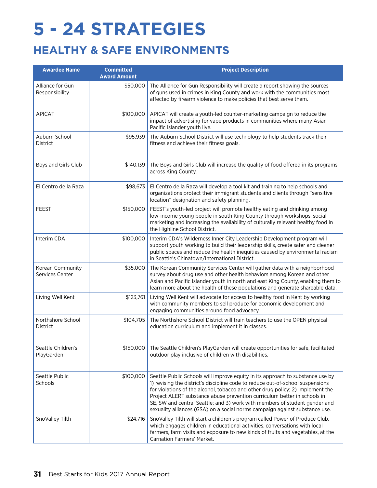# **5 - 24 strategies**

## **healthy & safe environments**

| <b>Awardee Name</b>                  | <b>Committed</b><br><b>Award Amount</b> | <b>Project Description</b>                                                                                                                                                                                                                                                                                                                                                                                                                                                                  |
|--------------------------------------|-----------------------------------------|---------------------------------------------------------------------------------------------------------------------------------------------------------------------------------------------------------------------------------------------------------------------------------------------------------------------------------------------------------------------------------------------------------------------------------------------------------------------------------------------|
| Alliance for Gun<br>Responsibility   | \$50,000                                | The Alliance for Gun Responsibility will create a report showing the sources<br>of guns used in crimes in King County and work with the communities most<br>affected by firearm violence to make policies that best serve them.                                                                                                                                                                                                                                                             |
| <b>APICAT</b>                        | \$100,000                               | APICAT will create a youth-led counter-marketing campaign to reduce the<br>impact of advertising for vape products in communities where many Asian<br>Pacific Islander youth live.                                                                                                                                                                                                                                                                                                          |
| Auburn School<br><b>District</b>     | \$95,939                                | The Auburn School District will use technology to help students track their<br>fitness and achieve their fitness goals.                                                                                                                                                                                                                                                                                                                                                                     |
| Boys and Girls Club                  | \$140,139                               | The Boys and Girls Club will increase the quality of food offered in its programs<br>across King County.                                                                                                                                                                                                                                                                                                                                                                                    |
| El Centro de la Raza                 | \$98,673                                | El Centro de la Raza will develop a tool kit and training to help schools and<br>organizations protect their immigrant students and clients through "sensitive"<br>location" designation and safety planning.                                                                                                                                                                                                                                                                               |
| <b>FEEST</b>                         | \$150,000                               | FEEST's youth-led project will promote healthy eating and drinking among<br>low-income young people in south King County through workshops, social<br>marketing and increasing the availability of culturally relevant healthy food in<br>the Highline School District.                                                                                                                                                                                                                     |
| Interim CDA                          | \$100,000                               | Interim CDA's Wilderness Inner City Leadership Development program will<br>support youth working to build their leadership skills, create safer and cleaner<br>public spaces and reduce the health inequities caused by environmental racism<br>in Seattle's Chinatown/International District.                                                                                                                                                                                              |
| Korean Community<br>Services Center  | \$35,000                                | The Korean Community Services Center will gather data with a neighborhood<br>survey about drug use and other health behaviors among Korean and other<br>Asian and Pacific Islander youth in north and east King County, enabling them to<br>learn more about the health of these populations and generate shareable data.                                                                                                                                                                   |
| Living Well Kent                     | \$123,761                               | Living Well Kent will advocate for access to healthy food in Kent by working<br>with community members to sell produce for economic development and<br>engaging communities around food advocacy.                                                                                                                                                                                                                                                                                           |
| Northshore School<br><b>District</b> | \$104,705                               | The Northshore School District will train teachers to use the OPEN physical<br>education curriculum and implement it in classes.                                                                                                                                                                                                                                                                                                                                                            |
| Seattle Children's<br>PlayGarden     | \$150,000                               | The Seattle Children's PlayGarden will create opportunities for safe, facilitated<br>outdoor play inclusive of children with disabilities.                                                                                                                                                                                                                                                                                                                                                  |
| Seattle Public<br>Schools            | \$100,000                               | Seattle Public Schools will improve equity in its approach to substance use by<br>1) revising the district's discipline code to reduce out-of-school suspensions<br>for violations of the alcohol, tobacco and other drug policy; 2) implement the<br>Project ALERT substance abuse prevention curriculum better in schools in<br>SE, SW and central Seattle; and 3) work with members of student gender and<br>sexuality alliances (GSA) on a social norms campaign against substance use. |
| SnoValley Tilth                      | \$24,716                                | SnoValley Tilth will start a children's program called Power of Produce Club,<br>which engages children in educational activities, conversations with local<br>farmers, farm visits and exposure to new kinds of fruits and vegetables, at the<br>Carnation Farmers' Market.                                                                                                                                                                                                                |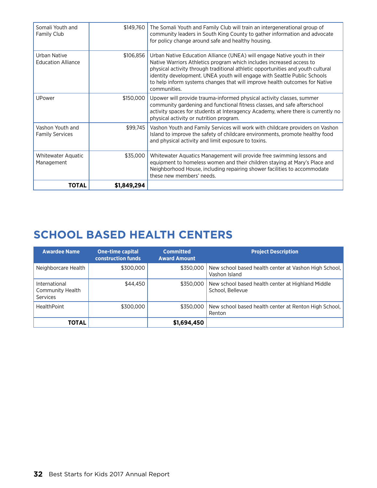| Somali Youth and<br>Family Club            | \$149,760   | The Somali Youth and Family Club will train an intergenerational group of<br>community leaders in South King County to gather information and advocate<br>for policy change around safe and healthy housing.                                                                                                                                                                                                   |
|--------------------------------------------|-------------|----------------------------------------------------------------------------------------------------------------------------------------------------------------------------------------------------------------------------------------------------------------------------------------------------------------------------------------------------------------------------------------------------------------|
| Urban Native<br><b>Education Alliance</b>  | \$106,856   | Urban Native Education Alliance (UNEA) will engage Native youth in their<br>Native Warriors Athletics program which includes increased access to<br>physical activity through traditional athletic opportunities and youth cultural<br>identity development. UNEA youth will engage with Seattle Public Schools<br>to help inform systems changes that will improve health outcomes for Native<br>communities. |
| UPower                                     | \$150,000   | Upower will provide trauma-informed physical activity classes, summer<br>community gardening and functional fitness classes, and safe afterschool<br>activity spaces for students at Interagency Academy, where there is currently no<br>physical activity or nutrition program.                                                                                                                               |
| Vashon Youth and<br><b>Family Services</b> | \$99,745    | Vashon Youth and Family Services will work with childcare providers on Vashon<br>Island to improve the safety of childcare environments, promote healthy food<br>and physical activity and limit exposure to toxins.                                                                                                                                                                                           |
| Whitewater Aquatic<br>Management           | \$35,000    | Whitewater Aquatics Management will provide free swimming lessons and<br>equipment to homeless women and their children staying at Mary's Place and<br>Neighborhood House, including repairing shower facilities to accommodate<br>these new members' needs.                                                                                                                                                   |
| <b>TOTAL</b>                               | \$1,849,294 |                                                                                                                                                                                                                                                                                                                                                                                                                |

## **School Based Health Centers**

| <b>Awardee Name</b>                                  | <b>One-time capital</b><br><b>construction funds</b> | <b>Committed</b><br><b>Award Amount</b> | <b>Project Description</b>                                             |
|------------------------------------------------------|------------------------------------------------------|-----------------------------------------|------------------------------------------------------------------------|
| Neighborcare Health                                  | \$300,000                                            | \$350,000                               | New school based health center at Vashon High School.<br>Vashon Island |
| International<br>Community Health<br><b>Services</b> | \$44,450                                             | \$350,000                               | New school based health center at Highland Middle<br>School, Bellevue  |
| <b>HealthPoint</b>                                   | \$300,000                                            | \$350,000                               | New school based health center at Renton High School.<br>Renton        |
| <b>TOTAL</b>                                         |                                                      | \$1,694,450                             |                                                                        |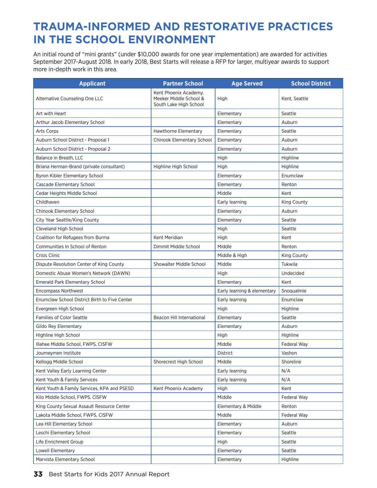## **Trauma-Informed and Restorative Practices in the School Environment**

An initial round of "mini grants" (under \$10,000 awards for one year implementation) are awarded for activities September 2017-August 2018. In early 2018, Best Starts will release a RFP for larger, multiyear awards to support more in-depth work in this area.

| <b>Applicant</b>                              | <b>Partner School</b>                                                     | <b>Age Served</b>           | <b>School District</b> |
|-----------------------------------------------|---------------------------------------------------------------------------|-----------------------------|------------------------|
| Alternative Counseling One LLC                | Kent Phoenix Academy,<br>Meeker Middle School &<br>South Lake High School | High                        | Kent, Seattle          |
| Art with Heart                                |                                                                           | Elementary                  | Seattle                |
| Arthur Jacob Elementary School                |                                                                           | Elementary                  | Auburn                 |
| Arts Corps                                    | Hawthorne Elementary                                                      | Elementary                  | Seattle                |
| Auburn School District - Proposal 1           | Chinook Elementary School                                                 | Elementary                  | Auburn                 |
| Auburn School District - Proposal 2           |                                                                           | Elementary                  | Auburn                 |
| Balance in Breath, LLC                        |                                                                           | High                        | Highline               |
| Briana Herman-Brand (private consultant)      | Highline High School                                                      | High                        | Highline               |
| Byron Kibler Elementary School                |                                                                           | Elementary                  | Enumclaw               |
| Cascade Elementary School                     |                                                                           | Elementary                  | Renton                 |
| Cedar Heights Middle School                   |                                                                           | Middle                      | Kent                   |
| Childhaven                                    |                                                                           | Early learning              | <b>King County</b>     |
| Chinook Elementary School                     |                                                                           | Elementary                  | Auburn                 |
| City Year Seattle/King County                 |                                                                           | Elementary                  | Seattle                |
| Cleveland High School                         |                                                                           | High                        | Seattle                |
| Coalition for Refugees from Burma             | Kent Meridian                                                             | High                        | Kent                   |
| Communities In School of Renton               | Dimmit Middle School                                                      | Middle                      | Renton                 |
| Crisis Clinic                                 |                                                                           | Middle & High               | King County            |
| Dispute Resolution Center of King County      | Showalter Middle School                                                   | Middle                      | Tukwila                |
| Domestic Abuse Women's Network (DAWN)         |                                                                           | High                        | Undecided              |
| <b>Emerald Park Elementary School</b>         |                                                                           | Elementary                  | Kent                   |
| <b>Encompass Northwest</b>                    |                                                                           | Early learning & elementary | Snoqualmie             |
| Enumclaw School District Birth to Five Center |                                                                           | Early learning              | Enumclaw               |
| Evergreen High School                         |                                                                           | High                        | Highline               |
| <b>Families of Color Seattle</b>              | Beacon Hill International                                                 | Elementary                  | Seattle                |
| Gildo Rey Elementary                          |                                                                           | Elementary                  | Auburn                 |
| Highline High School                          |                                                                           | High                        | Highline               |
| Illahee Middle School, FWPS, CISFW            |                                                                           | Middle                      | Federal Way            |
| Journeymen Institute                          |                                                                           | District                    | Vashon                 |
| Kellogg Middle School                         | Shorecrest High School                                                    | Middle                      | Shoreline              |
| Kent Valley Early Learning Center             |                                                                           | Early learning              | N/A                    |
| Kent Youth & Family Services                  |                                                                           | Early learning              | N/A                    |
| Kent Youth & Family Services, KPA and PSESD   | Kent Phoenix Academy                                                      | High                        | Kent                   |
| Kilo Middle School, FWPS, CISFW               |                                                                           | Middle                      | Federal Way            |
| King County Sexual Assault Resource Center    |                                                                           | Elementary & Middle         | Renton                 |
| Lakota Middle School, FWPS, CISFW             |                                                                           | Middle                      | Federal Way            |
| Lea Hill Elementary School                    |                                                                           | Elementary                  | Auburn                 |
| Leschi Elementary School                      |                                                                           | Elementary                  | Seattle                |
| Life Enrichment Group                         |                                                                           | High                        | Seattle                |
| Lowell Elementary                             |                                                                           | Elementary                  | Seattle                |
| Marvista Elementary School                    |                                                                           | Elementary                  | Highline               |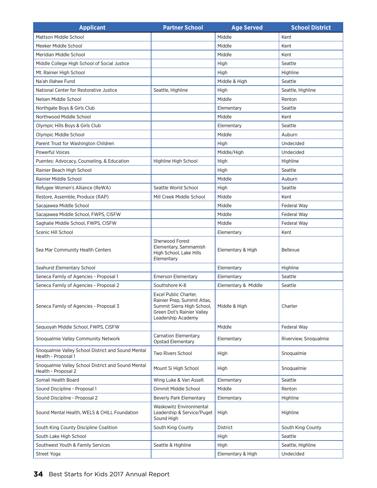| <b>Applicant</b>                                                          | <b>Partner School</b>                                                                                                                  | <b>Age Served</b>   | <b>School District</b> |
|---------------------------------------------------------------------------|----------------------------------------------------------------------------------------------------------------------------------------|---------------------|------------------------|
| Mattson Middle School                                                     |                                                                                                                                        | Middle              | Kent                   |
| Meeker Middle School                                                      |                                                                                                                                        | Middle              | Kent                   |
| Meridian Middle School                                                    |                                                                                                                                        | Middle              | Kent                   |
| Middle College High School of Social Justice                              |                                                                                                                                        | High                | Seattle                |
| Mt. Rainier High School                                                   |                                                                                                                                        | High                | Highline               |
| Na'ah Illahee Fund                                                        |                                                                                                                                        | Middle & High       | Seattle                |
| National Center for Restorative Justice                                   | Seattle, Highline                                                                                                                      | High                | Seattle, Highline      |
| Nelsen Middle School                                                      |                                                                                                                                        | Middle              | Renton                 |
| Northgate Boys & Girls Club                                               |                                                                                                                                        | Elementary          | Seattle                |
| Northwood Middle School                                                   |                                                                                                                                        | Middle              | Kent                   |
| Olympic Hills Boys & Girls Club                                           |                                                                                                                                        | Elementary          | Seattle                |
| Olympic Middle School                                                     |                                                                                                                                        | Middle              | Auburn                 |
| Parent Trust for Washington Children                                      |                                                                                                                                        | High                | Undecided              |
| <b>Powerful Voices</b>                                                    |                                                                                                                                        | Middle/High         | Undecided              |
| Puentes: Advocacy, Counseling, & Education                                | Highline High School                                                                                                                   | High                | Highline               |
| Rainier Beach High School                                                 |                                                                                                                                        | High                | Seattle                |
| Rainier Middle School                                                     |                                                                                                                                        | Middle              | Auburn                 |
| Refugee Women's Alliance (ReWA)                                           | Seattle World School                                                                                                                   | High                | Seattle                |
| Restore, Assemble, Produce (RAP)                                          | Mill Creek Middle School                                                                                                               | Middle              | Kent                   |
| Sacajawea Middle School                                                   |                                                                                                                                        | Middle              | Federal Way            |
| Sacajawea Middle School, FWPS, CISFW                                      |                                                                                                                                        | Middle              | Federal Way            |
| Saghalie Middle School, FWPS, CISFW                                       |                                                                                                                                        | Middle              | Federal Way            |
| Scenic Hill School                                                        |                                                                                                                                        | Elementary          | Kent                   |
| Sea Mar Community Health Centers                                          | Sherwood Forest<br>Elementary, Sammamish<br>High School, Lake Hills<br>Elementary                                                      | Elementary & High   | <b>Bellevue</b>        |
| Seahurst Elementary School                                                |                                                                                                                                        | Elementary          | Highline               |
| Seneca Family of Agencies - Proposal 1                                    | <b>Emerson Elementary</b>                                                                                                              | Elementary          | Seattle                |
| Seneca Family of Agencies - Proposal 2                                    | Southshore K-8                                                                                                                         | Elementary & Middle | Seattle                |
| Seneca Family of Agencies - Proposal 3                                    | Excel Public Charter,<br>Rainier Prep, Summit Atlas,<br>Summit Sierra High School,<br>Green Dot's Rainier Valley<br>Leadership Academy | Middle & High       | Charter                |
| Sequoyah Middle School, FWPS, CISFW                                       |                                                                                                                                        | Middle              | Federal Way            |
| Snoqualmie Valley Community Network                                       | Carnation Elementary,<br><b>Opstad Elementary</b>                                                                                      | Elementary          | Riverview, Snoqualmie  |
| Snoqualmie Valley School District and Sound Mental<br>Health - Proposal 1 | Two Rivers School                                                                                                                      | High                | Snoqualmie             |
| Snoqualmie Valley School District and Sound Mental<br>Health - Proposal 2 | Mount Si High School                                                                                                                   | High                | Snoqualmie             |
| Somali Health Board                                                       | Wing Luke & Van Asselt                                                                                                                 | Elementary          | Seattle                |
| Sound Discipline - Proposal 1                                             | Dimmit Middle School                                                                                                                   | Middle              | Renton                 |
| Sound Discipline - Proposal 2                                             | <b>Beverly Park Elementary</b>                                                                                                         | Elementary          | Highline               |
| Sound Mental Health, WELS & CHILL Foundation                              | Waskowitz Environmental<br>Leadership & Service/Puget<br>Sound High                                                                    | High                | Highline               |
| South King County Discipline Coalition                                    | South King County                                                                                                                      | District            | South King County      |
| South Lake High School                                                    |                                                                                                                                        | High                | Seattle                |
| Southwest Youth & Family Services                                         | Seattle & Highline                                                                                                                     | High                | Seattle, Highline      |
| Street Yoga                                                               |                                                                                                                                        | Elementary & High   | Undecided              |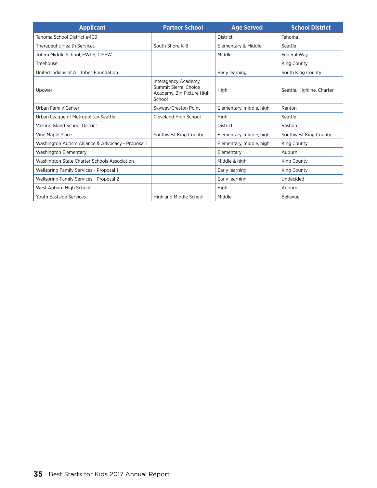| <b>Applicant</b>                                   | <b>Partner School</b>                                                                | <b>Age Served</b>        | <b>School District</b>     |
|----------------------------------------------------|--------------------------------------------------------------------------------------|--------------------------|----------------------------|
| Tahoma School District #409                        |                                                                                      | District                 | Tahoma                     |
| <b>Therapeutic Health Services</b>                 | South Shore K-8                                                                      | Elementary & Middle      | Seattle                    |
| Totem Middle School, FWPS, CISFW                   |                                                                                      | Middle                   | Federal Way                |
| Treehouse                                          |                                                                                      |                          | <b>King County</b>         |
| United Indians of All Tribes Foundation            |                                                                                      | Early learning           | South King County          |
| Upower                                             | Interagency Academy,<br>Summit Sierra, Choice<br>Academy, Big Picture High<br>School | High                     | Seattle, Highline, Charter |
| Urban Family Center                                | Skyway/Creston Point                                                                 | Elementary, middle, high | Renton                     |
| Urban League of Metropolitan Seattle               | Cleveland High School                                                                | High                     | Seattle                    |
| Vashon Island School District                      |                                                                                      | District                 | Vashon                     |
| Vine Maple Place                                   | Southwest King County                                                                | Elementary, middle, high | Southwest King County      |
| Washington Autism Alliance & Advocacy - Proposal 1 |                                                                                      | Elementary, middle, high | <b>King County</b>         |
| Washington Elementary                              |                                                                                      | Elementary               | Auburn                     |
| Washington State Charter Schools Association       |                                                                                      | Middle & high            | King County                |
| Wellspring Family Services - Proposal 1            |                                                                                      | Early learning           | King County                |
| Wellspring Family Services - Proposal 2            |                                                                                      | Early learning           | Undecided                  |
| West Auburn High School                            |                                                                                      | High                     | Auburn                     |
| <b>Youth Eastside Services</b>                     | Highland Middle School                                                               | Middle                   | Bellevue                   |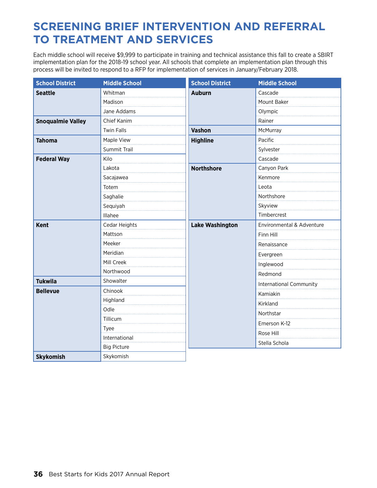### **Screening Brief Intervention and Referral to Treatment and Services**

Each middle school will receive \$9,999 to participate in training and technical assistance this fall to create a SBIRT implementation plan for the 2018-19 school year. All schools that complete an implementation plan through this process will be invited to respond to a RFP for implementation of services in January/February 2018.

| <b>School District</b>   | <b>Middle School</b>                                                                                                                                    | <b>School District</b>                                                          | <b>Middle School</b>           |
|--------------------------|---------------------------------------------------------------------------------------------------------------------------------------------------------|---------------------------------------------------------------------------------|--------------------------------|
| <b>Seattle</b>           | Whitman                                                                                                                                                 | <b>Auburn</b>                                                                   | Cascade                        |
|                          | Madison                                                                                                                                                 |                                                                                 | Mount Baker                    |
|                          | Jane Addams                                                                                                                                             |                                                                                 | Olympic                        |
| <b>Snoqualmie Valley</b> | Chief Kanim                                                                                                                                             |                                                                                 | Rainer                         |
|                          | <b>Twin Falls</b>                                                                                                                                       | <b>Vashon</b><br><b>Highline</b><br><b>Northshore</b><br><b>Lake Washington</b> | McMurray                       |
| <b>Tahoma</b>            | Maple View                                                                                                                                              |                                                                                 | Pacific                        |
|                          | Summit Trail                                                                                                                                            |                                                                                 | Sylvester                      |
| <b>Federal Way</b>       | Kilo                                                                                                                                                    |                                                                                 | Cascade                        |
|                          | Lakota                                                                                                                                                  |                                                                                 | Canyon Park                    |
|                          | Sacajawea                                                                                                                                               |                                                                                 | Kenmore                        |
|                          | Totem                                                                                                                                                   |                                                                                 | Leota                          |
|                          | Saghalie                                                                                                                                                |                                                                                 | Northshore                     |
|                          | Sequiyah                                                                                                                                                |                                                                                 | Skyview                        |
|                          | Illahee                                                                                                                                                 |                                                                                 | Timbercrest                    |
| <b>Kent</b>              | Cedar Heights                                                                                                                                           |                                                                                 | Environmental & Adventure      |
|                          | Mattson                                                                                                                                                 |                                                                                 | Finn Hill                      |
|                          | Meeker                                                                                                                                                  |                                                                                 | Renaissance                    |
|                          | Meridian<br>Mill Creek<br>Northwood<br>Showalter<br>Chinook<br>Highland<br>Odle<br>Tillicum<br>Tyee<br>International<br><b>Big Picture</b><br>Skykomish |                                                                                 | Evergreen                      |
|                          |                                                                                                                                                         |                                                                                 | Inglewood                      |
|                          |                                                                                                                                                         |                                                                                 | Redmond                        |
| <b>Tukwila</b>           |                                                                                                                                                         |                                                                                 | <b>International Community</b> |
| <b>Bellevue</b>          |                                                                                                                                                         |                                                                                 | Kamiakin                       |
|                          |                                                                                                                                                         |                                                                                 | Kirkland                       |
|                          |                                                                                                                                                         |                                                                                 | Northstar                      |
|                          |                                                                                                                                                         |                                                                                 | Emerson K-12                   |
|                          |                                                                                                                                                         |                                                                                 | Rose Hill                      |
|                          |                                                                                                                                                         |                                                                                 |                                |
|                          |                                                                                                                                                         |                                                                                 | Stella Schola                  |
| <b>Skykomish</b>         |                                                                                                                                                         |                                                                                 |                                |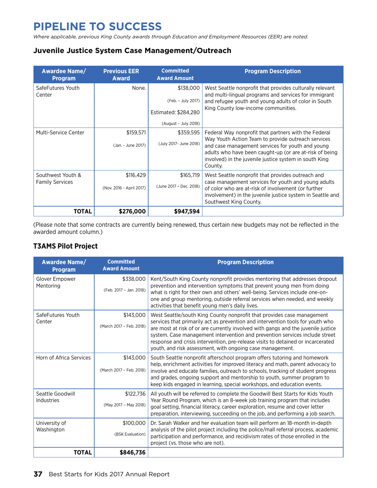## **Pipeline to success**

*Where applicable, previous King County awards through Education and Employment Resources (EER) are noted.*

### **Juvenile Justice System Case Management/Outreach**

| <b>Awardee Name/</b><br><b>Program</b> | <b>Previous EER</b><br><b>Award</b> | <b>Committed</b><br><b>Award Amount</b> | <b>Program Description</b>                                                                                                                                                                                                             |
|----------------------------------------|-------------------------------------|-----------------------------------------|----------------------------------------------------------------------------------------------------------------------------------------------------------------------------------------------------------------------------------------|
| SafeFutures Youth<br>Center            | None.                               | \$138,000                               | West Seattle nonprofit that provides culturally relevant<br>and multi-lingual programs and services for immigrant                                                                                                                      |
|                                        |                                     | (Feb. - July 2017)                      | and refugee youth and young adults of color in South                                                                                                                                                                                   |
|                                        |                                     | Estimated: \$284.280                    | King County low-income communities.                                                                                                                                                                                                    |
|                                        |                                     | (August - July 2018)                    |                                                                                                                                                                                                                                        |
| Multi-Service Center                   | \$159,571                           | \$359,595                               | Federal Way nonprofit that partners with the Federal                                                                                                                                                                                   |
|                                        | (Jan. - June 2017)                  | (July 2017- June 2018)                  | Way Youth Action Team to provide outreach services<br>and case management services for youth and young<br>adults who have been caught-up (or are at-risk of being<br>involved) in the juvenile justice system in south King<br>County. |
| Southwest Youth &                      | \$116,429                           | \$165,719                               | West Seattle nonprofit that provides outreach and                                                                                                                                                                                      |
| <b>Family Services</b>                 | (Nov. 2016 - April 2017)            | (June 2017 - Dec. 2018)                 | case management services for youth and young adults<br>of color who are at-risk of involvement (or further<br>involvement) in the juvenile justice system in Seattle and<br>Southwest King County.                                     |
| TOTAL                                  | \$276,000                           | \$947,594                               |                                                                                                                                                                                                                                        |

(Please note that some contracts are currently being renewed, thus certain new budgets may not be reflected in the awarded amount column.)

### **T3AMS Pilot Project**

| <b>Awardee Name/</b><br><b>Program</b> | <b>Committed</b><br><b>Award Amount</b> | <b>Program Description</b>                                                                                                                                                                                                                                                                                                                                                                                                                                                    |
|----------------------------------------|-----------------------------------------|-------------------------------------------------------------------------------------------------------------------------------------------------------------------------------------------------------------------------------------------------------------------------------------------------------------------------------------------------------------------------------------------------------------------------------------------------------------------------------|
| Glover Empower<br>Mentoring            | \$338,000<br>(Feb. 2017 - Jan. 2018)    | Kent/South King County nonprofit provides mentoring that addresses dropout<br>prevention and intervention symptoms that prevent young men from doing<br>what is right for their own and others' well-being. Services include one-on-                                                                                                                                                                                                                                          |
|                                        |                                         | one and group mentoring, outside referral services when needed, and weekly<br>activities that benefit young men's daily lives.                                                                                                                                                                                                                                                                                                                                                |
| SafeFutures Youth<br>Center            | \$143,000<br>(March 2017 - Feb. 2018)   | West Seattle/south King County nonprofit that provides case management<br>services that primarily act as prevention and intervention tools for youth who<br>are most at risk of or are currently involved with gangs and the juvenile justice<br>system. Case management intervention and prevention services include street<br>response and crisis intervention, pre-release visits to detained or incarcerated<br>youth, and risk assessment, with ongoing case management. |
| Horn of Africa Services                | \$143,000<br>(March 2017 - Feb. 2018)   | South Seattle nonprofit afterschool program offers tutoring and homework<br>help, enrichment activities for improved literacy and math, parent advocacy to<br>involve and educate families, outreach to schools, tracking of student progress<br>and grades, ongoing support and mentorship to youth, summer program to<br>keep kids engaged in learning, special workshops, and education events.                                                                            |
| Seattle Goodwill<br>Industries         | \$122,736<br>(May 2017 - May 2018)      | All youth will be referred to complete the Goodwill Best Starts for Kids Youth<br>Year Round Program, which is an 8-week job training program that includes<br>goal setting, financial literacy, career exploration, resume and cover letter<br>preparation, interviewing, succeeding on the job, and performing a job search.                                                                                                                                                |
| University of<br>Washington            | \$100,000                               | Dr. Sarah Walker and her evaluation team will perform an 18-month in-depth<br>analysis of the pilot project including the police/mall referral process, academic                                                                                                                                                                                                                                                                                                              |
|                                        | (BSK Evaluation)                        | participation and performance, and recidivism rates of those enrolled in the<br>project (vs. those who are not).                                                                                                                                                                                                                                                                                                                                                              |
| <b>TOTAL</b>                           | \$846,736                               |                                                                                                                                                                                                                                                                                                                                                                                                                                                                               |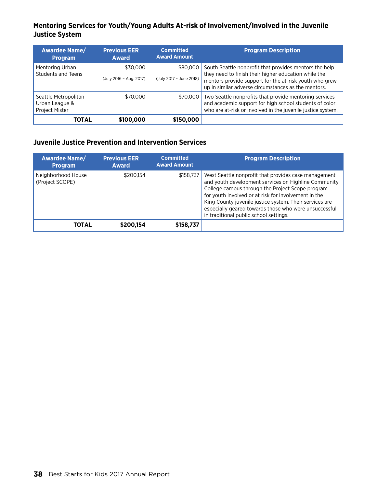### **Mentoring Services for Youth/Young Adults At-risk of Involvement/Involved in the Juvenile Justice System**

| <b>Awardee Name/</b><br><b>Program</b>                   | <b>Previous EER</b><br><b>Award</b> | <b>Committed</b><br><b>Award Amount</b> | <b>Program Description</b>                                                                                                                                                                                                      |
|----------------------------------------------------------|-------------------------------------|-----------------------------------------|---------------------------------------------------------------------------------------------------------------------------------------------------------------------------------------------------------------------------------|
| Mentoring Urban<br>Students and Teens                    | \$30,000<br>(July 2016 - Aug. 2017) | \$80,000<br>(July 2017 - June 2018)     | South Seattle nonprofit that provides mentors the help<br>they need to finish their higher education while the<br>mentors provide support for the at-risk youth who grew<br>up in similar adverse circumstances as the mentors. |
| Seattle Metropolitan<br>Urban League &<br>Project Mister | \$70,000                            | \$70,000                                | Two Seattle nonprofits that provide mentoring services<br>and academic support for high school students of color<br>who are at-risk or involved in the juvenile justice system.                                                 |
| ΤΟΤΑL                                                    | \$100.000                           | \$150,000                               |                                                                                                                                                                                                                                 |

### **Juvenile Justice Prevention and Intervention Services**

| <b>Awardee Name/</b><br><b>Program</b> | <b>Previous EER</b><br><b>Award</b> | <b>Committed</b><br><b>Award Amount</b> | <b>Program Description</b>                                                                                                                                                                                                                                                                                                                                                             |
|----------------------------------------|-------------------------------------|-----------------------------------------|----------------------------------------------------------------------------------------------------------------------------------------------------------------------------------------------------------------------------------------------------------------------------------------------------------------------------------------------------------------------------------------|
| Neighborhood House<br>(Project SCOPE)  | \$200.154                           | \$158,737                               | West Seattle nonprofit that provides case management<br>and youth development services on Highline Community<br>College campus through the Project Scope program<br>for youth involved or at risk for involvement in the<br>King County juvenile justice system. Their services are<br>especially geared towards those who were unsuccessful<br>in traditional public school settings. |
| <b>TOTAL</b>                           | \$200.154                           | \$158,737                               |                                                                                                                                                                                                                                                                                                                                                                                        |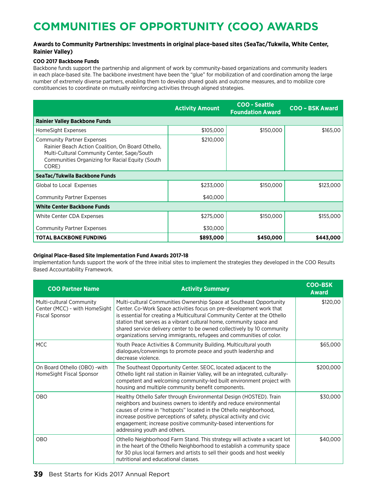## **Communities of Opportunity (COO) Awards**

### **Awards to Community Partnerships: Investments in original place-based sites (SeaTac/Tukwila, White Center, Rainier Valley)**

### **COO 2017 Backbone Funds**

Backbone funds support the partnership and alignment of work by community-based organizations and community leaders in each place-based site. The backbone investment have been the "glue" for mobilization of and coordination among the large number of extremely diverse partners, enabling them to develop shared goals and outcome measures, and to mobilize core constituencies to coordinate on mutually reinforcing activities through aligned strategies.

|                                                                                                                                                                                                   | <b>Activity Amount</b> | <b>COO - Seattle</b><br><b>Foundation Award</b> | <b>COO - BSK Award</b> |
|---------------------------------------------------------------------------------------------------------------------------------------------------------------------------------------------------|------------------------|-------------------------------------------------|------------------------|
| <b>Rainier Valley Backbone Funds</b>                                                                                                                                                              |                        |                                                 |                        |
| HomeSight Expenses                                                                                                                                                                                | \$105,000              | \$150,000                                       | \$165,00               |
| <b>Community Partner Expenses</b><br>Rainier Beach Action Coalition, On Board Othello,<br>Multi-Cultural Community Center, Sage/South<br>Communities Organizing for Racial Equity (South<br>CORE) | \$210,000              |                                                 |                        |
| SeaTac/Tukwila Backbone Funds                                                                                                                                                                     |                        |                                                 |                        |
| Global to Local Expenses                                                                                                                                                                          | \$233,000              | \$150,000                                       | \$123,000              |
| <b>Community Partner Expenses</b>                                                                                                                                                                 | \$40,000               |                                                 |                        |
| <b>White Center Backbone Funds</b>                                                                                                                                                                |                        |                                                 |                        |
| White Center CDA Expenses                                                                                                                                                                         | \$275,000              | \$150,000                                       | \$155,000              |
| <b>Community Partner Expenses</b>                                                                                                                                                                 | \$30,000               |                                                 |                        |
| <b>TOTAL BACKBONE FUNDING</b>                                                                                                                                                                     | \$893,000              | \$450,000                                       | \$443,000              |

#### **Original Place-Based Site Implementation Fund Awards 2017-18**

Implementation funds support the work of the three initial sites to implement the strategies they developed in the COO Results Based Accountability Framework.

| <b>COO Partner Name</b>                                                            | <b>Activity Summary</b>                                                                                                                                                                                                                                                                                                                                                                                                                           | <b>COO-BSK</b><br><b>Award</b> |
|------------------------------------------------------------------------------------|---------------------------------------------------------------------------------------------------------------------------------------------------------------------------------------------------------------------------------------------------------------------------------------------------------------------------------------------------------------------------------------------------------------------------------------------------|--------------------------------|
| Multi-cultural Community<br>Center (MCC) - with HomeSight<br><b>Fiscal Sponsor</b> | Multi-cultural Communities Ownership Space at Southeast Opportunity<br>Center. Co-Work Space activities focus on pre-development work that<br>is essential for creating a Multicultural Community Center at the Othello<br>station that serves as a vibrant cultural home, community space and<br>shared service delivery center to be owned collectively by 10 community<br>organizations serving immigrants, refugees and communities of color. | \$120,00                       |
| <b>MCC</b>                                                                         | Youth Peace Activities & Community Building. Multicultural youth<br>dialogues/convenings to promote peace and youth leadership and<br>decrease violence.                                                                                                                                                                                                                                                                                          | \$65,000                       |
| On Board Othello (OBO) - with<br>HomeSight Fiscal Sponsor                          | The Southeast Opportunity Center. SEOC, located adjacent to the<br>Othello light rail station in Rainier Valley, will be an integrated, culturally-<br>competent and welcoming community-led built environment project with<br>housing and multiple community benefit components.                                                                                                                                                                 | \$200,000                      |
| <b>OBO</b>                                                                         | Healthy Othello Safer through Environmental Design (HOSTED). Train<br>neighbors and business owners to identify and reduce environmental<br>causes of crime in "hotspots" located in the Othello neighborhood,<br>increase positive perceptions of safety, physical activity and civic<br>engagement; increase positive community-based interventions for<br>addressing youth and others.                                                         | \$30,000                       |
| <b>OBO</b>                                                                         | Othello Neighborhood Farm Stand. This strategy will activate a vacant lot<br>in the heart of the Othello Neighborhood to establish a community space<br>for 30 plus local farmers and artists to sell their goods and host weekly<br>nutritional and educational classes.                                                                                                                                                                         | \$40,000                       |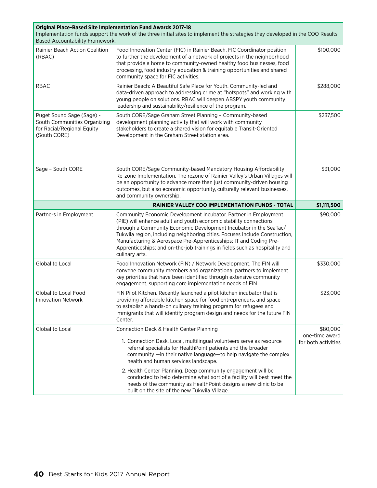| <b>Original Place-Based Site Implementation Fund Awards 2017-18</b><br>Implementation funds support the work of the three initial sites to implement the strategies they developed in the COO Results<br>Based Accountability Framework. |                                                                                                                                                                                                                                                                                                                                                                                                                                                                |                                       |  |  |
|------------------------------------------------------------------------------------------------------------------------------------------------------------------------------------------------------------------------------------------|----------------------------------------------------------------------------------------------------------------------------------------------------------------------------------------------------------------------------------------------------------------------------------------------------------------------------------------------------------------------------------------------------------------------------------------------------------------|---------------------------------------|--|--|
| Rainier Beach Action Coalition<br>(RBAC)                                                                                                                                                                                                 | Food Innovation Center (FIC) in Rainier Beach. FIC Coordinator position<br>to further the development of a network of projects in the neighborhood<br>that provide a home to community-owned healthy food businesses, food<br>processing, food industry education & training opportunities and shared<br>community space for FIC activities.                                                                                                                   | \$100,000                             |  |  |
| <b>RBAC</b>                                                                                                                                                                                                                              | Rainier Beach: A Beautiful Safe Place for Youth. Community-led and<br>data-driven approach to addressing crime at "hotspots" and working with<br>young people on solutions. RBAC will deepen ABSPY youth community<br>leadership and sustainability/resilience of the program.                                                                                                                                                                                 | \$288,000                             |  |  |
| Puget Sound Sage (Sage) -<br>South Communities Organizing<br>for Racial/Regional Equity<br>(South CORE)                                                                                                                                  | South CORE/Sage Graham Street Planning - Community-based<br>development planning activity that will work with community<br>stakeholders to create a shared vision for equitable Transit-Oriented<br>Development in the Graham Street station area.                                                                                                                                                                                                             | \$237,500                             |  |  |
| Sage - South CORE                                                                                                                                                                                                                        | South CORE/Sage Community-based Mandatory Housing Affordability<br>Re-zone Implementation. The rezone of Rainier Valley's Urban Villages will<br>be an opportunity to advance more than just community-driven housing<br>outcomes, but also economic opportunity, culturally relevant businesses,<br>and community ownership.                                                                                                                                  | \$31,000                              |  |  |
|                                                                                                                                                                                                                                          | <b>RAINIER VALLEY COO IMPLEMENTATION FUNDS - TOTAL</b>                                                                                                                                                                                                                                                                                                                                                                                                         | \$1,111,500                           |  |  |
| Partners in Employment                                                                                                                                                                                                                   | Community Economic Development Incubator. Partner in Employment<br>(PIE) will enhance adult and youth economic stability connections<br>through a Community Economic Development Incubator in the SeaTac/<br>Tukwila region, including neighboring cities. Focuses include Construction,<br>Manufacturing & Aerospace Pre-Apprenticeships; IT and Coding Pre-<br>Apprenticeships; and on-the-job trainings in fields such as hospitality and<br>culinary arts. | \$90,000                              |  |  |
| Global to Local                                                                                                                                                                                                                          | Food Innovation Network (FIN) / Network Development. The FIN will<br>convene community members and organizational partners to implement<br>key priorities that have been identified through extensive community<br>engagement, supporting core implementation needs of FIN.                                                                                                                                                                                    | \$330,000                             |  |  |
| Global to Local Food<br><b>Innovation Network</b>                                                                                                                                                                                        | FIN Pilot Kitchen. Recently launched a pilot kitchen incubator that is<br>providing affordable kitchen space for food entrepreneurs, and space<br>to establish a hands-on culinary training program for refugees and<br>immigrants that will identify program design and needs for the future FIN<br>Center.                                                                                                                                                   | \$23,000                              |  |  |
| Global to Local                                                                                                                                                                                                                          | Connection Deck & Health Center Planning                                                                                                                                                                                                                                                                                                                                                                                                                       | \$80,000                              |  |  |
|                                                                                                                                                                                                                                          | 1. Connection Desk. Local, multilingual volunteers serve as resource<br>referral specialists for HealthPoint patients and the broader<br>community —in their native language—to help navigate the complex<br>health and human services landscape.                                                                                                                                                                                                              | one-time award<br>for both activities |  |  |
|                                                                                                                                                                                                                                          | 2. Health Center Planning. Deep community engagement will be<br>conducted to help determine what sort of a facility will best meet the<br>needs of the community as HealthPoint designs a new clinic to be<br>built on the site of the new Tukwila Village.                                                                                                                                                                                                    |                                       |  |  |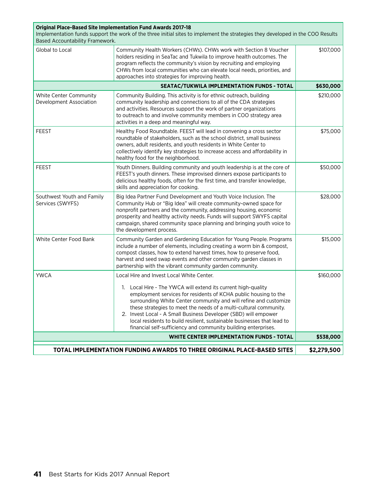| <b>Original Place-Based Site Implementation Fund Awards 2017-18</b><br>Implementation funds support the work of the three initial sites to implement the strategies they developed in the COO Results<br>Based Accountability Framework.                                                                                                                                                                                                                                                                                                                           |                                                                                                                                                                                                                                                                                                                                                                                             |           |  |  |  |
|--------------------------------------------------------------------------------------------------------------------------------------------------------------------------------------------------------------------------------------------------------------------------------------------------------------------------------------------------------------------------------------------------------------------------------------------------------------------------------------------------------------------------------------------------------------------|---------------------------------------------------------------------------------------------------------------------------------------------------------------------------------------------------------------------------------------------------------------------------------------------------------------------------------------------------------------------------------------------|-----------|--|--|--|
| Global to Local                                                                                                                                                                                                                                                                                                                                                                                                                                                                                                                                                    | Community Health Workers (CHWs). CHWs work with Section 8 Voucher<br>holders residing in SeaTac and Tukwila to improve health outcomes. The<br>program reflects the community's vision by recruiting and employing<br>CHWs from local communities who can elevate local needs, priorities, and<br>approaches into strategies for improving health.                                          | \$107,000 |  |  |  |
|                                                                                                                                                                                                                                                                                                                                                                                                                                                                                                                                                                    | SEATAC/TUKWILA IMPLEMENTATION FUNDS - TOTAL                                                                                                                                                                                                                                                                                                                                                 | \$630,000 |  |  |  |
| White Center Community<br>Development Association                                                                                                                                                                                                                                                                                                                                                                                                                                                                                                                  | Community Building. This activity is for ethnic outreach, building<br>community leadership and connections to all of the CDA strategies<br>and activities. Resources support the work of partner organizations<br>to outreach to and involve community members in COO strategy area<br>activities in a deep and meaningful way.                                                             | \$210,000 |  |  |  |
| <b>FEEST</b>                                                                                                                                                                                                                                                                                                                                                                                                                                                                                                                                                       | Healthy Food Roundtable. FEEST will lead in convening a cross sector<br>roundtable of stakeholders, such as the school district, small business<br>owners, adult residents, and youth residents in White Center to<br>collectively identify key strategies to increase access and affordability in<br>healthy food for the neighborhood.                                                    | \$75,000  |  |  |  |
| <b>FEEST</b>                                                                                                                                                                                                                                                                                                                                                                                                                                                                                                                                                       | Youth Dinners. Building community and youth leadership is at the core of<br>FEEST's youth dinners. These improvised dinners expose participants to<br>delicious healthy foods, often for the first time, and transfer knowledge,<br>skills and appreciation for cooking.                                                                                                                    | \$50,000  |  |  |  |
| Southwest Youth and Family<br>Services (SWYFS)                                                                                                                                                                                                                                                                                                                                                                                                                                                                                                                     | Big Idea Partner Fund Development and Youth Voice Inclusion. The<br>Community Hub or "Big Idea" will create community-owned space for<br>nonprofit partners and the community, addressing housing, economic<br>prosperity and healthy activity needs. Funds will support SWYFS capital<br>campaign, shared community space planning and bringing youth voice to<br>the development process. | \$28,000  |  |  |  |
| White Center Food Bank                                                                                                                                                                                                                                                                                                                                                                                                                                                                                                                                             | Community Garden and Gardening Education for Young People. Programs<br>include a number of elements, including creating a worm bin & compost,<br>compost classes, how to extend harvest times, how to preserve food,<br>harvest and seed swap events and other community garden classes in<br>partnership with the vibrant community garden community.                                      | \$15,000  |  |  |  |
| <b>YWCA</b><br>Local Hire and Invest Local White Center.<br>\$160,000<br>1. Local Hire - The YWCA will extend its current high-quality<br>employment services for residents of KCHA public housing to the<br>surrounding White Center community and will refine and customize<br>these strategies to meet the needs of a multi-cultural community.<br>2. Invest Local - A Small Business Developer (SBD) will empower<br>local residents to build resilient, sustainable businesses that lead to<br>financial self-sufficiency and community building enterprises. |                                                                                                                                                                                                                                                                                                                                                                                             |           |  |  |  |
| <b>WHITE CENTER IMPLEMENTATION FUNDS - TOTAL</b><br>\$538,000                                                                                                                                                                                                                                                                                                                                                                                                                                                                                                      |                                                                                                                                                                                                                                                                                                                                                                                             |           |  |  |  |
|                                                                                                                                                                                                                                                                                                                                                                                                                                                                                                                                                                    | TOTAL IMPLEMENTATION FUNDING AWARDS TO THREE ORIGINAL PLACE-BASED SITES<br>\$2,279,500                                                                                                                                                                                                                                                                                                      |           |  |  |  |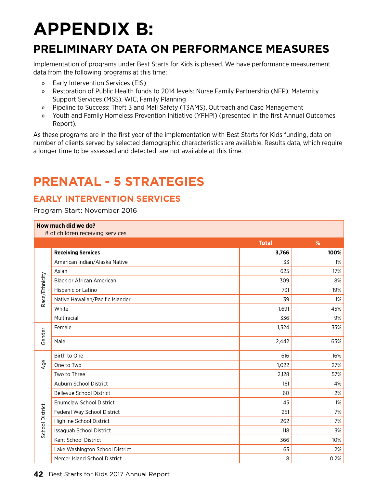# **appendix B:**

## **Preliminary Data on Performance Measures**

Implementation of programs under Best Starts for Kids is phased. We have performance measurement data from the following programs at this time:

- » Early Intervention Services (EIS)
- » Restoration of Public Health funds to 2014 levels: Nurse Family Partnership (NFP), Maternity Support Services (MSS), WIC, Family Planning
- » Pipeline to Success: Theft 3 and Mall Safety (T3AMS), Outreach and Case Management
- » Youth and Family Homeless Prevention Initiative (YFHPI) (presented in the first Annual Outcomes Report).

As these programs are in the first year of the implementation with Best Starts for Kids funding, data on number of clients served by selected demographic characteristics are available. Results data, which require a longer time to be assessed and detected, are not available at this time.

## **prenatal - 5 strategies**

### **Early Intervention Services**

### Program Start: November 2016

|                 | How much did we do?<br># of children receiving services |              |       |
|-----------------|---------------------------------------------------------|--------------|-------|
|                 |                                                         | <b>Total</b> | %     |
|                 | <b>Receiving Services</b>                               | 3,766        | 100%  |
|                 | American Indian/Alaska Native                           | 33           | 1%    |
|                 | Asian                                                   | 625          | 17%   |
| Race/Ethnicity  | <b>Black or African American</b>                        | 309          | 8%    |
|                 | Hispanic or Latino                                      | 731          | 19%   |
|                 | Native Hawaiian/Pacific Islander                        | 39           | 1%    |
|                 | White                                                   | 1,691        | 45%   |
|                 | Multiracial                                             | 336          | 9%    |
| Gender          | Female                                                  | 1,324        | 35%   |
|                 | Male                                                    | 2,442        | 65%   |
|                 | Birth to One                                            | 616          | 16%   |
| Age             | One to Two                                              | 1,022        | 27%   |
|                 | Two to Three                                            | 2,128        | 57%   |
|                 | Auburn School District                                  | 161          | 4%    |
|                 | <b>Bellevue School District</b>                         | 60           | 2%    |
|                 | <b>Enumclaw School District</b>                         | 45           | $1\%$ |
| School District | Federal Way School District                             | 251          | 7%    |
|                 | Highline School District                                | 262          | 7%    |
|                 | Issaquah School District                                | 118          | 3%    |
|                 | Kent School District                                    | 366          | 10%   |
|                 | Lake Washington School District                         | 63           | 2%    |
|                 | Mercer Island School District                           | 8            | 0.2%  |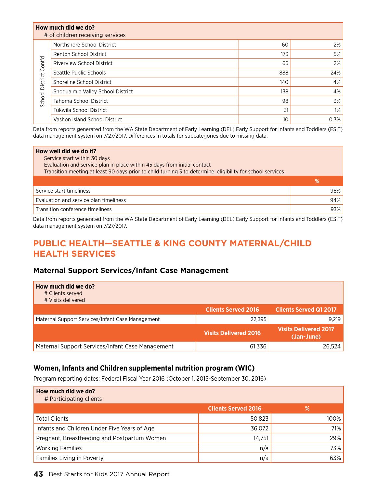|                        | How much did we do?<br># of children receiving services |     |       |
|------------------------|---------------------------------------------------------|-----|-------|
|                        | Northshore School District                              | 60  | $2\%$ |
|                        | <b>Renton School District</b>                           | 173 | 5%    |
| School District Cont'd | <b>Riverview School District</b>                        | 65  | 2%    |
|                        | Seattle Public Schools                                  | 888 | 24%   |
|                        | Shoreline School District                               | 140 | 4%    |
|                        | Snoqualmie Valley School District                       | 138 | 4%    |
|                        | Tahoma School District                                  | 98  | 3%    |
|                        | <b>Tukwila School District</b>                          | 31  | 1%    |
|                        | Vashon Island School District                           | 10  | 0.3%  |

Data from reports generated from the WA State Department of Early Learning (DEL) Early Support for Infants and Toddlers (ESIT) data management system on 7/27/2017. Differences in totals for subcategories due to missing data.

| How well did we do it?<br>Service start within 30 days<br>Evaluation and service plan in place within 45 days from initial contact<br>Transition meeting at least 90 days prior to child turning 3 to determine eligibility for school services |     |
|-------------------------------------------------------------------------------------------------------------------------------------------------------------------------------------------------------------------------------------------------|-----|
|                                                                                                                                                                                                                                                 | %   |
| Service start timeliness                                                                                                                                                                                                                        | 98% |
| Evaluation and service plan timeliness                                                                                                                                                                                                          | 94% |
| Transition conference timeliness                                                                                                                                                                                                                | 93% |

Data from reports generated from the WA State Department of Early Learning (DEL) Early Support for Infants and Toddlers (ESIT) data management system on 7/27/2017.

### **Public Health—Seattle & King County Maternal/Child Health Services**

### **Maternal Support Services/Infant Case Management**

| How much did we do?<br># Clients served<br># Visits delivered |                              |                                            |
|---------------------------------------------------------------|------------------------------|--------------------------------------------|
|                                                               | <b>Clients Served 2016</b>   | <b>Clients Served Q1 2017</b>              |
| Maternal Support Services/Infant Case Management              | 22,395                       | 9.219                                      |
|                                                               | <b>Visits Delivered 2016</b> | <b>Visits Delivered 2017</b><br>(Jan-June) |
| Maternal Support Services/Infant Case Management              | 61,336                       | 26.524                                     |

### **Women, Infants and Children supplemental nutrition program (WIC)**

Program reporting dates: Federal Fiscal Year 2016 (October 1, 2015-September 30, 2016)

| How much did we do?<br># Participating clients |                            |         |
|------------------------------------------------|----------------------------|---------|
|                                                | <b>Clients Served 2016</b> | %       |
| <b>Total Clients</b>                           | 50,823                     | $100\%$ |
| Infants and Children Under Five Years of Age   | 36,072                     | 71%     |
| Pregnant, Breastfeeding and Postpartum Women   | 14,751                     | 29%     |
| <b>Working Families</b>                        | n/a                        | 73%     |
| Families Living in Poverty                     | n/a                        | 63%     |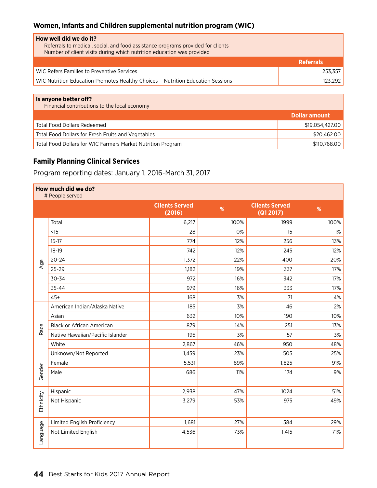### **Women, Infants and Children supplemental nutrition program (WIC)**

| How well did we do it?<br>Referrals to medical, social, and food assistance programs provided for clients<br>Number of client visits during which nutrition education was provided |                  |
|------------------------------------------------------------------------------------------------------------------------------------------------------------------------------------|------------------|
|                                                                                                                                                                                    | <b>Referrals</b> |
| WIC Refers Families to Preventive Services                                                                                                                                         | 253.357          |
| WIC Nutrition Education Promotes Healthy Choices - Nutrition Education Sessions                                                                                                    | 123.292          |
|                                                                                                                                                                                    |                  |

| Is anyone better off?<br>Financial contributions to the local economy |                 |
|-----------------------------------------------------------------------|-----------------|
|                                                                       | Dollar amount   |
| <b>Total Food Dollars Redeemed</b>                                    | \$19,054,427,00 |
| Total Food Dollars for Fresh Fruits and Vegetables                    | \$20,462.00     |
| Total Food Dollars for WIC Farmers Market Nutrition Program           | \$110,768,00    |

### **Family Planning Clinical Services**

Program reporting dates: January 1, 2016-March 31, 2017

| How much did we do?<br># People served |                                  |                                 |      |                                    |       |  |
|----------------------------------------|----------------------------------|---------------------------------|------|------------------------------------|-------|--|
|                                        |                                  | <b>Clients Served</b><br>(2016) | %    | <b>Clients Served</b><br>(Q1 2017) | %     |  |
|                                        | Total                            | 6,217                           | 100% | 1999                               | 100%  |  |
|                                        | <15                              | 28                              | 0%   | 15                                 | $1\%$ |  |
|                                        | $15-17$                          | 774                             | 12%  | 256                                | 13%   |  |
|                                        | $18-19$                          | 742                             | 12%  | 245                                | 12%   |  |
| Age                                    | $20 - 24$                        | 1,372                           | 22%  | 400                                | 20%   |  |
|                                        | 25-29                            | 1,182                           | 19%  | 337                                | 17%   |  |
|                                        | 30-34                            | 972                             | 16%  | 342                                | 17%   |  |
|                                        | 35-44                            | 979                             | 16%  | 333                                | 17%   |  |
|                                        | $45+$                            | 168                             | 3%   | 71                                 | 4%    |  |
|                                        | American Indian/Alaska Native    | 185                             | 3%   | 46                                 | 2%    |  |
|                                        | Asian                            | 632                             | 10%  | 190                                | 10%   |  |
| Race                                   | <b>Black or African American</b> | 879                             | 14%  | 251                                | 13%   |  |
|                                        | Native Hawaiian/Pacific Islander | 195                             | 3%   | 57                                 | 3%    |  |
|                                        | White                            | 2,867                           | 46%  | 950                                | 48%   |  |
|                                        | Unknown/Not Reported             | 1,459                           | 23%  | 505                                | 25%   |  |
|                                        | Female                           | 5,531                           | 89%  | 1,825                              | 91%   |  |
| Gender                                 | Male                             | 686                             | 11%  | 174                                | 9%    |  |
|                                        | Hispanic                         | 2,938                           | 47%  | 1024                               | 51%   |  |
| Ethnicity                              | Not Hispanic                     | 3,279                           | 53%  | 975                                | 49%   |  |
|                                        | Limited English Proficiency      | 1,681                           | 27%  | 584                                | 29%   |  |
| Language                               | Not Limited English              | 4,536                           | 73%  | 1,415                              | 71%   |  |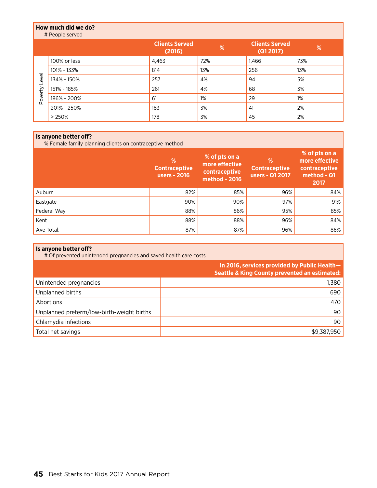### **How much did we do?** # People served **Clients Served (2016) % Clients Served (Q1 2017) %** 100% or less 100% or less 1,463 1,466 1,466 1,466 1,466 1,466 1,466 1,466 1,466 1,466 1,466 1,468 1,468 1,468 1,468 1,468 1,468 1,468 1,468 1,468 1,468 1,468 1,468 1,468 1,468 1,468 1,468 1,468 1,468 1,468 1,468 1,468 1,46 101% - 133% 814 13% 256 13% Poverty Level Poverty Level 134% - 150% 257 257 257 258 2694 2694 2695 2696 271 272 273 274 275 276 276 277 277 278 279 279 278 279 279 27 151% - 185% 261 261 261 27% 27% 37% 186% - 200% 61 1% 29 1% 29  $201\%$  - 250% 183  $\frac{1}{3}\%$  3% 41 2% > 250% 178 3% 45 2%

### **Is anyone better off?**

% Female family planning clients on contraceptive method

|             | %<br><b>Contraceptive</b><br>users - 2016 | % of pts on a<br>more effective<br>contraceptive<br>method - 2016 | %<br><b>Contraceptive</b><br>users - Q1 2017 | % of pts on a<br>more effective<br>contraceptive<br>method - Q1<br>2017 |
|-------------|-------------------------------------------|-------------------------------------------------------------------|----------------------------------------------|-------------------------------------------------------------------------|
| Auburn      | 82%                                       | 85%                                                               | 96%                                          | 84%                                                                     |
| Eastgate    | 90%                                       | 90%                                                               | 97%                                          | 91%                                                                     |
| Federal Way | 88%                                       | 86%                                                               | 95%                                          | 85%                                                                     |
| Kent        | 88%                                       | 88%                                                               | 96%                                          | 84%                                                                     |
| Ave Total:  | 87%                                       | 87%                                                               | 96%                                          | 86%                                                                     |

### **Is anyone better off?**

# Of prevented unintended pregnancies and saved health care costs

|                                           | In 2016, services provided by Public Health-<br><b>Seattle &amp; King County prevented an estimated:</b> |
|-------------------------------------------|----------------------------------------------------------------------------------------------------------|
| Unintended pregnancies                    | 1,380                                                                                                    |
| Unplanned births                          | 690                                                                                                      |
| Abortions                                 | 470                                                                                                      |
| Unplanned preterm/low-birth-weight births | 90                                                                                                       |
| Chlamydia infections                      | 90                                                                                                       |
| Total net savings                         | \$9,387,950                                                                                              |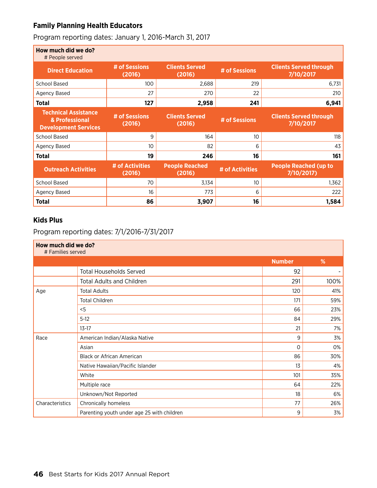### **Family Planning Health Educators**

Program reporting dates: January 1, 2016-March 31, 2017

| How much did we do?<br># People served                                       |                           |                                 |                 |                                            |
|------------------------------------------------------------------------------|---------------------------|---------------------------------|-----------------|--------------------------------------------|
| <b>Direct Education</b>                                                      | # of Sessions<br>(2016)   | <b>Clients Served</b><br>(2016) | # of Sessions   | <b>Clients Served through</b><br>7/10/2017 |
| <b>School Based</b>                                                          | 100                       | 2,688                           | 219             | 6,731                                      |
| Agency Based                                                                 | 27                        | 270                             | 22              | 210                                        |
| <b>Total</b>                                                                 | 127                       | 2,958                           | 241             | 6,941                                      |
| <b>Technical Assistance</b><br>& Professional<br><b>Development Services</b> | # of Sessions<br>(2016)   | <b>Clients Served</b><br>(2016) | # of Sessions   | <b>Clients Served through</b><br>7/10/2017 |
| <b>School Based</b>                                                          | 9                         | 164                             | 10              | 118                                        |
| Agency Based                                                                 | 10                        | 82                              | 6               | 43                                         |
| <b>Total</b>                                                                 | 19                        | 246                             | 16              | 161                                        |
| <b>Outreach Activities</b>                                                   | # of Activities<br>(2016) | <b>People Reached</b><br>(2016) | # of Activities | <b>People Reached (up to</b><br>7/10/2017) |
| <b>School Based</b>                                                          | 70                        | 3,134                           | 10              | 1,362                                      |
| Agency Based                                                                 | 16                        | 773                             | 6               | 222                                        |
| <b>Total</b>                                                                 | 86                        | 3,907                           | 16              | 1,584                                      |

### **Kids Plus**

Program reporting dates: 7/1/2016-7/31/2017

| How much did we do?<br># Families served |                                            |               |      |  |  |
|------------------------------------------|--------------------------------------------|---------------|------|--|--|
|                                          |                                            | <b>Number</b> | %    |  |  |
|                                          | <b>Total Households Served</b>             | 92            | ۰.   |  |  |
|                                          | <b>Total Adults and Children</b>           | 291           | 100% |  |  |
| Age                                      | <b>Total Adults</b>                        | 120           | 41%  |  |  |
|                                          | <b>Total Children</b>                      | 171           | 59%  |  |  |
|                                          | $<$ 5                                      | 66            | 23%  |  |  |
|                                          | $5-12$                                     | 84            | 29%  |  |  |
|                                          | $13-17$                                    | 21            | 7%   |  |  |
| Race                                     | American Indian/Alaska Native              | 9             | 3%   |  |  |
|                                          | Asian                                      | $\circ$       | 0%   |  |  |
|                                          | <b>Black or African American</b>           | 86            | 30%  |  |  |
|                                          | Native Hawaiian/Pacific Islander           | 13            | 4%   |  |  |
|                                          | White                                      | 101           | 35%  |  |  |
|                                          | Multiple race                              | 64            | 22%  |  |  |
|                                          | Unknown/Not Reported                       | 18            | 6%   |  |  |
| Characteristics                          | Chronically homeless                       | 77            | 26%  |  |  |
|                                          | Parenting youth under age 25 with children | 9             | 3%   |  |  |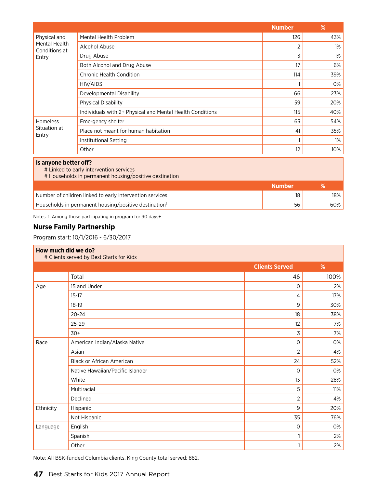|                                                                                                                            |                                                           | <b>Number</b>     | %     |  |
|----------------------------------------------------------------------------------------------------------------------------|-----------------------------------------------------------|-------------------|-------|--|
| Physical and<br>Mental Health<br>Conditions at                                                                             | Mental Health Problem                                     | 126               | 43%   |  |
|                                                                                                                            | Alcohol Abuse                                             | 2                 | $1\%$ |  |
| Entry                                                                                                                      | Drug Abuse                                                | 3                 | $1\%$ |  |
|                                                                                                                            | Both Alcohol and Drug Abuse                               | 17                | 6%    |  |
|                                                                                                                            | <b>Chronic Health Condition</b>                           | 114               | 39%   |  |
|                                                                                                                            | HIV/AIDS                                                  |                   | 0%    |  |
|                                                                                                                            | Developmental Disability                                  | 66                | 23%   |  |
|                                                                                                                            | <b>Physical Disability</b>                                | 59                | 20%   |  |
|                                                                                                                            | Individuals with 2+ Physical and Mental Health Conditions | 115               | 40%   |  |
| <b>Homeless</b>                                                                                                            | Emergency shelter                                         | 63                | 54%   |  |
| Situation at<br>Entry                                                                                                      | Place not meant for human habitation                      | 41                | 35%   |  |
|                                                                                                                            | Institutional Setting                                     |                   | $1\%$ |  |
|                                                                                                                            | Other                                                     | $12 \overline{ }$ | 10%   |  |
| Is anyone better off?<br># Linked to early intervention services<br># Households in permanent housing/positive destination |                                                           |                   |       |  |

|                                                                   | Number |     |
|-------------------------------------------------------------------|--------|-----|
| Number of children linked to early intervention services          |        | 18% |
| Households in permanent housing/positive destination <sup>1</sup> | 56     | 60% |

Notes: 1. Among those participating in program for 90 days+

### **Nurse Family Partnership**

Program start: 10/1/2016 - 6/30/2017

| How much did we do?<br># Clients served by Best Starts for Kids |                                  |                       |      |  |  |
|-----------------------------------------------------------------|----------------------------------|-----------------------|------|--|--|
|                                                                 |                                  | <b>Clients Served</b> | %    |  |  |
|                                                                 | Total                            | 46                    | 100% |  |  |
| Age                                                             | 15 and Under                     | $\mathbf 0$           | 2%   |  |  |
|                                                                 | $15-17$                          | 4                     | 17%  |  |  |
|                                                                 | $18-19$                          | 9                     | 30%  |  |  |
|                                                                 | $20 - 24$                        | 18                    | 38%  |  |  |
|                                                                 | 25-29                            | 12                    | 7%   |  |  |
|                                                                 | $30+$                            | 3                     | 7%   |  |  |
| Race                                                            | American Indian/Alaska Native    | $\mathbf 0$           | 0%   |  |  |
|                                                                 | Asian                            | $\overline{2}$        | 4%   |  |  |
|                                                                 | <b>Black or African American</b> | 24                    | 52%  |  |  |
|                                                                 | Native Hawaiian/Pacific Islander | $\mathbf 0$           | 0%   |  |  |
|                                                                 | White                            | 13                    | 28%  |  |  |
|                                                                 | Multiracial                      | 5                     | 11%  |  |  |
|                                                                 | Declined                         | 2                     | 4%   |  |  |
| Ethnicity                                                       | Hispanic                         | 9                     | 20%  |  |  |
|                                                                 | Not Hispanic                     | 35                    | 76%  |  |  |
| Language                                                        | English                          | 0                     | 0%   |  |  |
|                                                                 | Spanish                          | 1                     | 2%   |  |  |
|                                                                 | Other                            | 1                     | 2%   |  |  |

Note: All BSK-funded Columbia clients. King County total served: 882.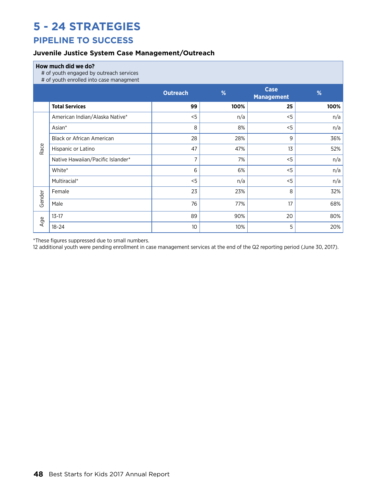## **5 - 24 Strategies**

### **Pipeline to success**

### **Juvenile Justice System Case Management/Outreach**

### **How much did we do?**

# of youth engaged by outreach services

# of youth enrolled into case managment

|                               | n or youth chronou mto case managment | <b>Outreach</b> | %    | <b>Case</b><br><b>Management</b> | %    |
|-------------------------------|---------------------------------------|-----------------|------|----------------------------------|------|
|                               | <b>Total Services</b>                 | 99              | 100% | 25                               | 100% |
| Race                          | American Indian/Alaska Native*        | < 5             | n/a  | $<$ 5                            | n/a  |
|                               | Asian*                                | 8               | 8%   | < 5                              | n/a  |
|                               | <b>Black or African American</b>      | 28              | 28%  | 9                                | 36%  |
|                               | Hispanic or Latino                    | 47              | 47%  | 13                               | 52%  |
|                               | Native Hawaiian/Pacific Islander*     | 7               | 7%   | < 5                              | n/a  |
|                               | White*                                | 6               | 6%   | < 5                              | n/a  |
|                               | Multiracial*                          | < 5             | n/a  | < 5                              | n/a  |
| Gender<br>$\mathfrak{g}$<br>⋖ | Female                                | 23              | 23%  | 8                                | 32%  |
|                               | Male                                  | 76              | 77%  | 17                               | 68%  |
|                               | $13 - 17$                             | 89              | 90%  | 20                               | 80%  |
|                               | $18 - 24$                             | 10              | 10%  | 5                                | 20%  |

\*These figures suppressed due to small numbers.

12 additional youth were pending enrollment in case management services at the end of the Q2 reporting period (June 30, 2017).